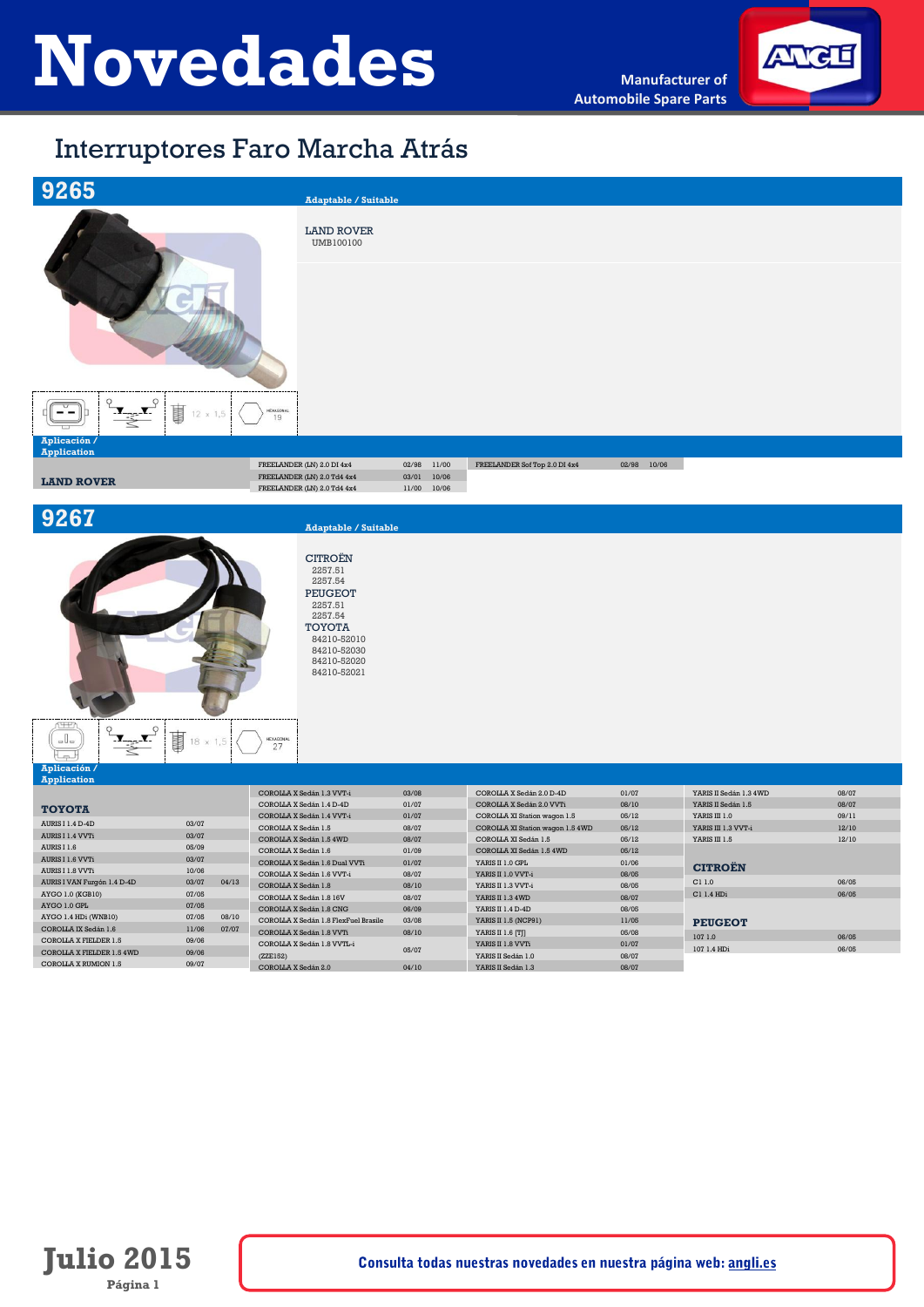

# Interruptores Faro Marcha Atrás





## **9267 Adaptable / Suitable**

CITROËN 2257.51 2257.54 PEUGEOT 2257.51 2257.54 TOYOTA 84210-52010 84210-52030 84210-52020 84210-52021

```
\frac{1}{\sqrt{1-\frac{1}{2}}}\sum_{i=1}^{n}事 18 x 1,5
   HEXAGONA<br>27
  لصا
Aplicación /
```
### **Application**

| .                           |       |       |                                      |       |                                  |       |                        |       |
|-----------------------------|-------|-------|--------------------------------------|-------|----------------------------------|-------|------------------------|-------|
|                             |       |       | COROLLA X Sedán 1.3 VVT-i            | 03/08 | COROLLA X Sedán 2.0 D-4D         | 01/07 | YARIS II Sedán 1.3 4WD | 08/07 |
| <b>TOYOTA</b>               |       |       | COROLLA X Sedán 1.4 D-4D             | 01/07 | COROLLA X Sedán 2.0 VVTi         | 08/10 | YARIS II Sedán 1.5     | 08/07 |
|                             |       |       | COROLLA X Sedán 1.4 VVT-i            | 01/07 | COROLLA XI Station wagon 1.5     | 05/12 | YARIS III 1.0          | 09/11 |
| AURIS I 1.4 D-4D            | 03/07 |       | COROLLA X Sedán 1.5                  | 08/07 | COROLLA XI Station wagon 1.5 4WD | 05/12 | YARIS III 1.3 VVT-i    | 12/10 |
| AURIS I 1.4 VVTi            | 03/07 |       | COROLLA X Sedán 1.5 4WD              | 08/07 | COROLLA XI Sedán 1.5             | 05/12 | YARIS III 1.5          | 12/10 |
| AURIS I 1.6                 | 05/09 |       | COROLLA X Sedán 1.6                  | 01/09 | COROLLA XI Sedán 1.5 4WD         | 05/12 |                        |       |
| AURIS I 1.6 VVTi            | 03/07 |       | COROLLA X Sedán 1.6 Dual VVTi        | 01/07 | YARIS II 1.0 GPL                 | 01/06 |                        |       |
| AURIS I 1.8 VVTi            | 10/06 |       | COROLLA X Sedán 1.6 VVT-i            | 08/07 | YARIS II 1.0 VVT-i               | 08/05 | <b>CITROEN</b>         |       |
| AURIS I VAN Furgón 1.4 D-4D | 03/07 | 04/13 | COROLLA X Sedán 1.8                  | 08/10 | YARIS II 1.3 VVT-i               | 08/05 | C11.0                  | 06/05 |
| AYGO 1.0 (KGB10)            | 07/05 |       | COROLLA X Sedán 1.8 16V              | 08/07 | YARIS II 1.3 4WD                 | 08/07 | C1 1.4 HDi             | 06/05 |
| AYGO 1.0 GPL                | 07/05 |       | COROLLA X Sedán 1.8 CNG              | 06/09 | YARIS II 1.4 D-4D                | 08/05 |                        |       |
| AYGO 1.4 HDi (WNB10)        | 07/05 | 08/10 | COROLLA X Sedán 1.8 FlexFuel Brasile | 03/08 | YARIS II 1.5 (NCP91)             | 11/05 |                        |       |
| COROLLA IX Sedán 1.6        | 11/06 | 07/07 | COROLLA X Sedán 1.8 VVTi             | 08/10 | YARIS II 1.6 [T]]                | 05/08 | <b>PEUGEOT</b>         |       |
| COROLLA X FIELDER 1.5       | 09/06 |       |                                      |       |                                  |       | 107 1.0                | 06/05 |
| COROLLA X FIELDER 1.5 4WD   | 09/06 |       | COROLLA X Sedán 1.8 VVTL-i           | 05/07 | YARIS II 1.8 VVTi                | 01/07 | 107 1.4 HDi            | 06/05 |
| COROLLA X RUMION 1.5        | 09/07 |       | (ZZE152)                             |       | YARIS II Sedán 1.0               | 08/07 |                        |       |
|                             |       |       | COROLLA X Sedán 2.0                  | 04/10 | YARIS II Sedán 1.3               | 08/07 |                        |       |

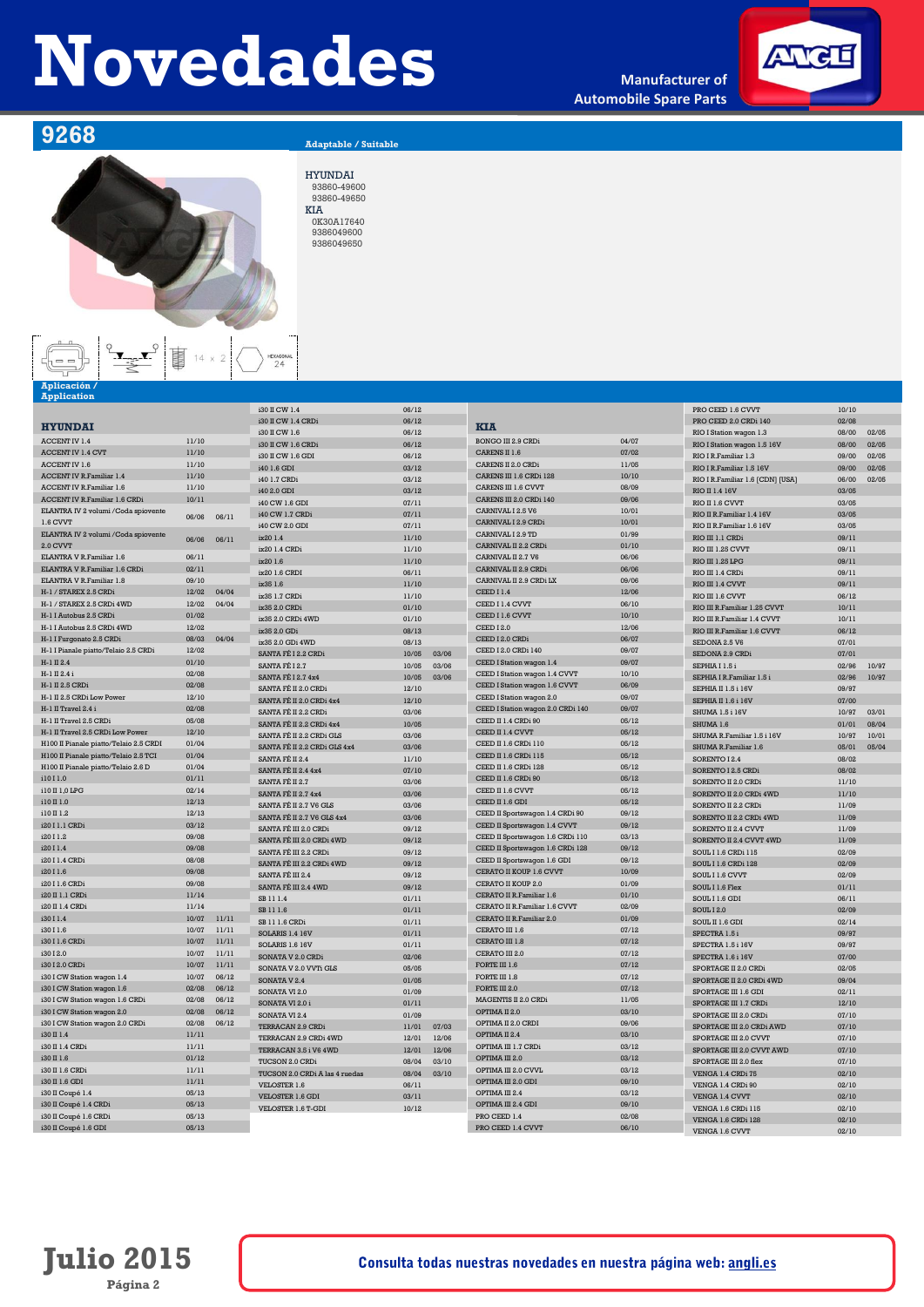**Manufacturer of Automobile Spare Parts**



**9268 Adaptable / Suitable** 

### HYUNDAI 93860-49600 93860-49650 KIA 0K30A17640 9386049600 9386049650

HEXAGONAL<br>24

 $\begin{picture}(120,110) \put(10,10){\line(1,0){15}} \put(10,10){\line(1,0){15}} \put(10,10){\line(1,0){15}} \put(10,10){\line(1,0){15}} \put(10,10){\line(1,0){15}} \put(10,10){\line(1,0){15}} \put(10,10){\line(1,0){15}} \put(10,10){\line(1,0){15}} \put(10,10){\line(1,0){15}} \put(10,10){\line(1,0){15}} \put(10,10){\line(1,0){1$ 

| Aplicación /<br><b>Application</b>     |                |                |                                |       |       |                                                             |                |                                                                                  |       |       |
|----------------------------------------|----------------|----------------|--------------------------------|-------|-------|-------------------------------------------------------------|----------------|----------------------------------------------------------------------------------|-------|-------|
|                                        |                |                | i30 II CW 1.4                  | 06/12 |       |                                                             |                | PRO CEED 1.6 CVVT                                                                | 10/10 |       |
|                                        |                |                | i30 II CW 1.4 CRDi             | 06/12 |       |                                                             |                | PRO CEED 2.0 CRDi 140                                                            | 02/08 |       |
| <b>HYUNDAI</b>                         |                |                | i30 II CW 1.6                  | 06/12 |       | <b>KIA</b>                                                  |                | RIO I Station wagon 1.3                                                          | 08/00 | 02/05 |
| ACCENT IV 1.4                          | 11/10          |                | i30 II CW 1.6 CRDi             | 06/12 |       | <b>BONGO III 2.9 CRDi</b>                                   | 04/07          | RIO I Station wagon 1.5 16V                                                      | 08/00 | 02/05 |
| ACCENT IV 1.4 CVT                      | 11/10          |                | i30 II CW 1.6 GDI              | 06/12 |       | CARENS II 1.6                                               | 07/02          | RIO I R.Familiar 1.3                                                             | 09/00 | 02/05 |
| ACCENT IV 1.6                          | 11/10          |                | i40 1.6 GDI                    | 03/12 |       | CARENS II 2.0 CRDi                                          | 11/05          | RIO I R.Familiar 1.5 16V                                                         | 09/00 | 02/05 |
| <b>ACCENT IV R.Familiar 1.4</b>        | 11/10          |                | i40 1.7 CRDi                   | 03/12 |       | CARENS III 1.6 CRDi 128                                     | 10/10          | RIO I R.Familiar 1.6 [CDN] [USA]                                                 | 06/00 | 02/05 |
| ACCENT IV R.Familiar 1.6               | 11/10          |                | i40 2.0 GDI                    | 03/12 |       | CARENS III 1.6 CVVT                                         | 08/09          | RIO II 1.4 16V                                                                   | 03/05 |       |
| <b>ACCENT IV R.Familiar 1.6 CRDi</b>   | 10/11          |                | i40 CW 1.6 GDI                 | 07/11 |       | CARENS III 2.0 CRDi 140                                     | 09/06          | RIO II 1.6 CVVT                                                                  | 03/05 |       |
| ELANTRA IV 2 volumi / Coda spiovente   | 06/06          | 06/11          | i40 CW 1.7 CRDi                | 07/11 |       | CARNIVAL I 2.5 V6                                           | 10/01          | RIO II R. Familiar 1.4 16V                                                       | 03/05 |       |
| 1.6 CVVT                               |                |                | i40 CW 2.0 GDI                 | 07/11 |       | CARNIVAL L2.9 CRDi                                          | 10/01          | RIO II R.Familiar 1.6 16V                                                        | 03/05 |       |
| ELANTRA IV 2 volumi / Coda spiovente   | 06/06          | 06/11          | ix20 1.4                       | 11/10 |       | CARNIVAL I 2.9 TD                                           | 01/99          | RIO III 1.1 CRDi                                                                 | 09/11 |       |
| 2.0 CVVT                               |                |                | ix20 1.4 CRDi                  | 11/10 |       | CARNIVAL II 2.2 CRD                                         | 01/10          | <b>RIO III 1.25 CVVT</b>                                                         | 09/11 |       |
| ELANTRA V R.Familiar 1.6               | 06/11          |                | ix201.6                        | 11/10 |       | CARNIVAL II 2.7 V6                                          | 06/06          | RIO III 1.25 LPG                                                                 | 09/11 |       |
| ELANTRA V R. Familiar 1.6 CRDi         | 02/11          |                | ix20 1.6 CRDI                  | 06/11 |       | CARNIVAL II 2.9 CRDi                                        | 06/06          | RIO III 1.4 CRDi                                                                 | 09/11 |       |
| ELANTRA V R. Familiar 1.8              | 09/10          |                | ix35 1.6                       | 11/10 |       | CARNIVAL II 2.9 CRDi LX                                     | 09/06          | RIO III 1.4 CVVT                                                                 | 09/11 |       |
| H-1 / STAREX 2.5 CRDi                  | 12/02          | 04/04          | ix35 1.7 CRDi                  | 11/10 |       | CEED I 1.4                                                  | 12/06          | RIO III 1.6 CVVT                                                                 | 06/12 |       |
| H-1 / STAREX 2.5 CRDi 4WD              | 12/02          | 04/04          | ix35 2.0 CRDi                  | 01/10 |       | CEED I 1.4 CVVT                                             | 06/10          | RIO III R.Familiar 1.25 CVVT                                                     | 10/11 |       |
| H-1 I Autobus 2.5 CRDi                 | 01/02          |                | ix35 2.0 CRDi 4WD              | 01/10 |       | CEED I 1.6 CVVT                                             | 10/10          | RIO III R. Familiar 1.4 CVVT                                                     | 10/11 |       |
| H-1 I Autobus 2.5 CRDi 4WD             | 12/02          |                | ix35 2.0 GDi                   | 08/13 |       | <b>CEED 12.0</b>                                            | 12/06          | RIO III R. Familiar 1.6 CVVT                                                     | 06/12 |       |
| H-1 I Furgonato 2.5 CRDi               | 08/03          | 04/04          | ix35 2.0 GDi 4WD               | 08/13 |       | CEED I 2.0 CRDi                                             | 06/07          | SEDONA 2.5 V6                                                                    | 07/01 |       |
| H-1 I Pianale piatto/Telaio 2.5 CRDi   | 12/02          |                | SANTA FÉ L2.2 CRD              | 10/05 | 03/06 | CEED I 2.0 CRDi 140                                         | 09/07          | SEDONA 2.9 CRDi                                                                  | 07/01 |       |
| H-1 II 2.4                             | 01/10          |                | SANTA FÉ L2.7                  | 10/05 | 03/06 | CEED I Station wagon 1.4                                    | 09/07          | SEPHIA I 1.5 i                                                                   | 02/96 | 10/97 |
| H-1 II 2.4 i                           | 02/08          |                | <b>SANTA FÉ I 2.7 4x4</b>      | 10/05 | 03/06 | CEED I Station wagon 1.4 CVVT                               | 10/10          | SEPHIA I R.Familiar 1.5 i                                                        | 02/96 | 10/97 |
| H-1 II 2.5 CRDi                        | 02/08          |                | SANTA FÉ II 2.0 CRDi           | 12/10 |       | CEED I Station wagon 1.6 CVVT                               | 06/09          | SEPHIA II 1.5 i 16V                                                              | 09/97 |       |
| H-1 II 2.5 CRDi Low Power              | 12/10          |                | SANTA FÉ II 2.0 CRDi 4x4       | 12/10 |       | CEED I Station wagon 2.0                                    | 09/07          | SEPHIA II 1.6 i 16V                                                              | 07/00 |       |
| H-1 II Travel 2.4 i                    | 02/08          |                | SANTA FÉ II 2.2 CRDi           | 03/06 |       | CEED I Station wagon 2.0 CRDi 140                           | 09/07          | <b>SHUMA 1.5 i 16V</b>                                                           | 10/97 | 03/01 |
| H-1 II Travel 2.5 CRDi                 | 05/08          |                | SANTA FÉ II 2.2 CRDi 4x4       | 10/05 |       | CEED II 1.4 CRDi 90                                         | 05/12          | SHUMA 1.6                                                                        | 01/01 | 08/04 |
| H-1 II Travel 2.5 CRDi Low Power       | 12/10          |                | SANTA FÉ II 2.2 CRDi GLS       | 03/06 |       | CEED II 1.4 CVVT                                            | 05/12          | SHUMA R.Familiar 1.5 i 16V                                                       | 10/97 | 10/01 |
| H100 II Pianale piatto/Telaio 2.5 CRDI | 01/04          |                | SANTA FÉ II 2.2 CRDI GLS 4x4   | 03/06 |       | CEED II 1.6 CRDi 110                                        | 05/12          | SHUMA R.Familiar 1.6                                                             | 05/01 | 05/04 |
| H100 II Pianale piatto/Telaio 2.5 TCI  | 01/04          |                | SANTA FÉ II 2.4                | 11/10 |       | CEED II 1.6 CRDi 115                                        | 05/12          | SORENTO I 2.4                                                                    | 08/02 |       |
| H100 II Pianale piatto/Telaio 2.6 D    | 01/04          |                | SANTA FÉ II 2.4 4x4            | 07/10 |       | CEED II 1.6 CRDi 128                                        | 05/12          | SORENTO L2.5 CRD                                                                 | 08/02 |       |
| i1011.0                                | 01/11          |                | SANTA FÉ II 2.7                | 03/06 |       | CEED II 1.6 CRDi 90                                         | 05/12          | SORENTO II 2.0 CRDi                                                              | 11/10 |       |
| i10 II 1,0 LPG                         | 02/14          |                | <b>SANTA FÉ II 2.7 4x4</b>     | 03/06 |       | CEED II 1.6 CVVT                                            | 05/12          | SORENTO II 2.0 CRDi 4WD                                                          | 11/10 |       |
| i10 II 1.0                             | 12/13          |                | SANTA FÉ II 2.7 V6 GLS         | 03/06 |       | CEED II 1.6 GDI                                             | 05/12          | SORENTO II 2.2 CRDi                                                              | 11/09 |       |
| i10 II 1.2                             | 12/13          |                | SANTA FÉ II 2.7 V6 GLS 4x4     | 03/06 |       | CEED II Sportswagon 1.4 CRDi 90                             | 09/12          | SORENTO II 2.2 CRDi 4WD                                                          | 11/09 |       |
| i20 I 1.1 CRDi                         | 03/12          |                | SANTA FÉ III 2.0 CRDi          | 09/12 |       | CEED II Sportswagon 1.4 CVVT                                | 09/12          | SORENTO II 2.4 CVVT                                                              | 11/09 |       |
| i20 I 1.2                              | 09/08          |                | SANTA FÉ III 2.0 CRDi 4WD      | 09/12 |       | CEED II Sportswagon 1.6 CRDi 110                            | 03/13          | SORENTO II 2.4 CVVT 4WD                                                          | 11/09 |       |
| i20 I 1.4                              | 09/08          |                | SANTA FÉ III 2.2 CRDi          | 09/12 |       | CEED II Sportswagon 1.6 CRDi 128                            | 09/12          | $S$ OIJI $\cdot$ I $\cdot$ I $\cdot$ 6 CRD $\cdot$ I $\cdot$ I $\cdot$ I $\cdot$ | 02/09 |       |
| i20 I 1.4 CRDi                         | 08/08<br>09/08 |                | SANTA FÉ III 2.2 CRDi 4WD      | 09/12 |       | CEED II Sportswagon 1.6 GDI<br>CERATO II KOUP 1.6 CVVT      | 09/12<br>10/09 | SOUL I 1.6 CRDi 128                                                              | 02/09 |       |
| i20 T 1.6                              |                |                | SANTA FÉ III 2.4               | 09/12 |       |                                                             |                | SOUL I 1.6 CVVT                                                                  | 02/09 |       |
| i20 I 1.6 CRDi                         | 09/08          |                | SANTA FÉ III 2.4 4WD           | 09/12 |       | CERATO II KOUP 2.0                                          | 01/09          | SOUL I 1.6 Flex                                                                  | 01/11 |       |
| i20 II 1.1 CRD:                        | 11/14          |                | SB 11 1.4                      | 01/11 |       | CERATO II R. Familiar 1.6                                   | 01/10          | SOUL I 1.6 GDI                                                                   | 06/11 |       |
| i20 II 1.4 CRD:                        | 11/14          |                | SB 11 1.6                      | 01/11 |       | CERATO II R. Familiar 1.6 CVVT<br>CERATO II R. Familiar 2.0 | 02/09          | $S$ OIJI $_1$ I $2.0$                                                            | 02/09 |       |
| i30 I 1.4<br>i30 I 1.6                 | 10/07<br>10/07 | 11/11<br>11/11 | SB 11 1.6 CRDi                 | 01/11 |       | CERATO III 1.6                                              | 01/09<br>07/12 | SOUL II 1.6 GDI                                                                  | 02/14 |       |
|                                        |                |                | <b>SOLARIS 1.4 16V</b>         | 01/11 |       | CERATO III 1.8                                              |                | SPECTRA 1.5 i                                                                    | 09/97 |       |
| i30 I 1.6 CRDi<br>i30 I 2.0            | 10/07<br>10/07 | 11/11<br>11/11 | <b>SOLARIS 1.6 16V</b>         | 01/11 |       | CERATO III 2.0                                              | 07/12<br>07/12 | SPECTRA 1.5 i 16V                                                                | 09/97 |       |
| i30 I 2.0 CRDi                         | 10/07          | 11/11          | SONATA V 2.0 CRDi              | 02/06 |       | FORTE III $1.6$                                             | 07/12          | SPECTRA 1.6 i 16V                                                                | 07/00 |       |
| i30 I CW Station wagon 1.4             | 10/07          | 06/12          | SONATA V 2.0 VVTi GLS          | 05/05 |       | FORTE III 1.8                                               | 07/12          | SPORTAGE II 2.0 CRDi                                                             | 02/05 |       |
| i30 I CW Station wagon 1.6             | 02/08          | 06/12          | SONATA V 2.4                   | 01/05 |       | FORTE III 2.0                                               | 07/12          | SPORTAGE II 2.0 CRDi 4WD                                                         | 09/04 |       |
| i30 I CW Station wagon 1.6 CRDi        | 02/08          | 06/12          | SONATA VI 2.0                  | 01/09 |       | MAGENTIS II 2.0 CRDi                                        | 11/05          | SPORTAGE III 1.6 GDI                                                             | 02/11 |       |
| i30 I CW Station wagon 2.0             | 02/08          | 06/12          | SONATA VI 2.0 i                | 01/11 |       | OPTIMA II 2.0                                               | 03/10          | SPORTAGE III 1.7 CRDi                                                            | 12/10 |       |
| i30 I CW Station wagon 2.0 CRDi        | 02/08          | 06/12          | SONATA VI <sub>2.4</sub>       | 01/09 |       | OPTIMA II 2.0 CRDI                                          | 09/06          | SPORTAGE III 2.0 CRDi                                                            | 07/10 |       |
| i30 II 1.4                             | 11/11          |                | TERRACAN 2.9 CRDi              | 11/01 | 07/03 | OPTIMA II 2.4                                               | 03/10          | SPORTAGE III 2.0 CRDi AWD                                                        | 07/10 |       |
| i30 II 1.4 CRDi                        | 11/11          |                | TERRACAN 2.9 CRDi 4WD          | 12/01 | 12/06 | OPTIMA III 1.7 CRDi                                         | 03/12          | SPORTAGE III 2.0 CVVT                                                            | 07/10 |       |
| i30 II 1.6                             | 01/12          |                | TERRACAN 3.5 i V6 4WD          | 12/01 | 12/06 | OPTIMA III 2.0                                              | 03/12          | SPORTAGE III 2.0 CVVT AWD                                                        | 07/10 |       |
| i30 II 1.6 CRDi                        | 11/11          |                | TUCSON 2.0 CRDi                | 08/04 | 03/10 | OPTIMA III 2.0 CVVL                                         | 03/12          | SPORTAGE III 2.0 flex                                                            | 07/10 |       |
| i30 II 1.6 GDI                         | 11/11          |                | TUCSON 2.0 CRDi A las 4 ruedas | 08/04 | 03/10 | OPTIMA III 2.0 GDI                                          | 09/10          | VENGA 1.4 CRDi 75                                                                | 02/10 |       |
| i30 II Coupé 1.4                       | 05/13          |                | <b>VELOSTER 1.6</b>            | 06/11 |       | OPTIMA III 2.4                                              | 03/12          | VENGA 1.4 CRDi 90                                                                | 02/10 |       |
| i30 II Coupé 1.4 CRDi                  | 05/13          |                | VELOSTER 1.6 GDI               | 03/11 |       | OPTIMA III 2.4 GDI                                          | 09/10          | VENGA 1.4 CVVT                                                                   | 02/10 |       |
| i30 II Coupé 1.6 CRDi                  | 05/13          |                | VELOSTER 1.6 T-GDI             | 10/12 |       | PRO CEED 1.4                                                | 02/08          | VENGA 1.6 CRDi 115                                                               | 02/10 |       |
| i30 II Coupé 1.6 GDI                   | 05/13          |                |                                |       |       | PRO CEED 1.4 CVVT                                           | 06/10          | VENGA 1.6 CRDi 128                                                               | 02/10 |       |
|                                        |                |                |                                |       |       |                                                             |                | VENGA 1.6 CVVT                                                                   | 02/10 |       |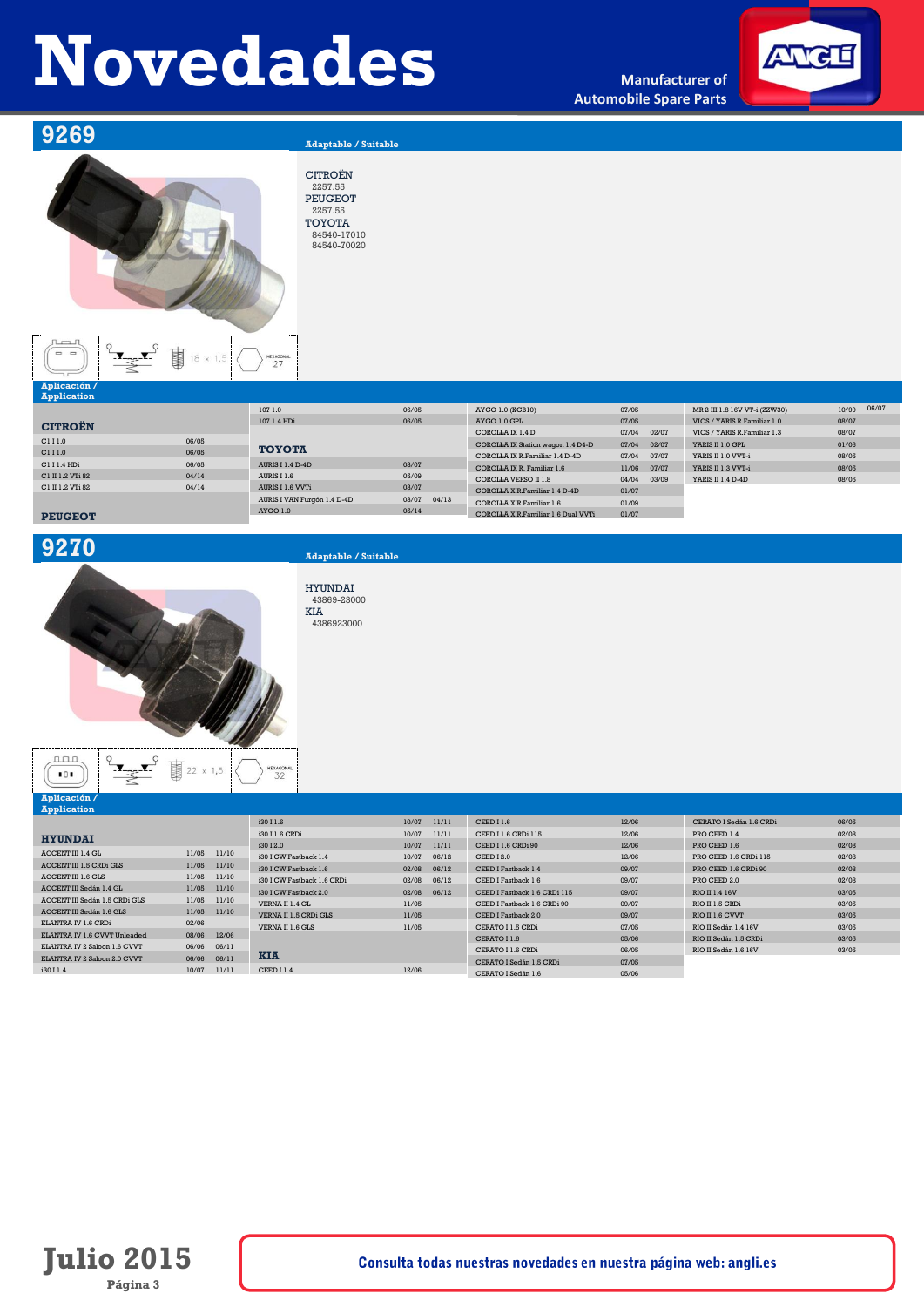**Manufacturer of Automobile Spare Parts**



**9269 Adaptable / Suitable** 



CITROËN 2257.55 PEUGEOT 2257.55 TOYOTA 84540-17010 84540-70020

 $\frac{1}{27}$ 



### **Application CITROËN** C111.0 06/05<br>C111.0 06/05  $C1 I 1.0$ C1 I 1.4 HDi 06/05<br>C1 II 1.2 VTi 82 04/14 C1 II 1.2 VTi 82 04/14<br>C1 II 1.2 VTi 82 04/14<br>C1 II 1.2 VTi 82 04/14  $C1$  II 1.2 VTi 82 **PEUGEOT** 107 1.0 06/05 107 1.4 HDi 06/05 **TOYOTA** AURIS I 1.4 D-4D 03/07<br>AURIS I 1.6 05/09 AURIS I 1.6 05/09<br>AURIS I 1.6 VVTi 03/07  $AURIS I 1.6 VVTi$ AURIS I VAN Furgón 1.4 D-4D 03/07 04/13 AYGO 1.0 05/14 AYGO 1.0 (KGB10) 07/05  $AYGO 1.0 GPI$  07/05 COROLLA IX 1.4 D 07/04 02/07<br>COROLLA IX Station wagon 1.4 D4-D 07/04 02/07 COROLLA IX Station wagon 1.4 D4-D COROLLA IX R.Familiar 1.4 D-4D 07/04 07/07 COROLLA IX R. Familiar 1.4 D-4D<br>COROLLA IX R. Familiar 1.6 11/06 07/07<br>COROLLA VERSO II 1.8 04/04 03/09 COROLLA VERSO II 1.8 04/04 03/09 COROLLA X R.Familiar 1.4 D-4D 01/07 COROLLA X R.Familiar 1.6 01/09 COROLLA X R.Familiar 1.6 Dual VVTi 01/07 MR 2 III 1.8 16V VT-i (ZZW30) 10/99 06/07 VIOS / YARIS R.Familiar 1.0 08/07 VIOS / YARIS R.Familiar 1.3 08/07<br>
YARIS II 1.0 GPL 01/06  ${\tt YARIS \ II \ 1.0 \ GPL}$ YARIS II 1.0 VVT-i 08/05 YARIS II 1.3 VVT-i 08/05 YARIS II 1.4 D-4D 08/05

## **9270 Adaptable / Suitable**

HYUNDAI 43869-23000 KIA 4386923000

 $101$ **Aplicación /**

 $n_{\text{max}}$ 

 $\frac{1}{\sqrt{1-\frac{1}{2}}}\sum_{i=1}^{n}$ 

T 22 x 1,5

HEXAGOR<br>32

| <b>Application</b>            |       |       |                            |       |       |                              |       |                         |       |
|-------------------------------|-------|-------|----------------------------|-------|-------|------------------------------|-------|-------------------------|-------|
|                               |       |       | i30 I 1.6                  | 10/07 | 11/11 | CEEDI1.6                     | 12/06 | CERATO I Sedán 1.6 CRDi | 06/05 |
| <b>HYUNDAI</b>                |       |       | i30 I 1.6 CRDi             | 10/07 | 11/11 | CEED I 1.6 CRDi 115          | 12/06 | PRO CEED 1.4            | 02/08 |
|                               |       |       | i30 I 2.0                  | 10/07 | 11/11 | CEED I 1.6 CRDi 90           | 12/06 | PRO CEED 1.6            | 02/08 |
| ACCENT III 1.4 GL             | 11/05 | 11/10 | i30 I CW Fastback 1.4      | 10/07 | 06/12 | CEED I 2.0                   | 12/06 | PRO CEED 1.6 CRDi 115   | 02/08 |
| ACCENT III 1.5 CRDi GLS       | 11/05 | 11/10 | i30 I CW Fastback 1.6      | 02/08 | 06/12 | CEED I Fastback 1.4          | 09/07 | PRO CEED 1.6 CRDi 90    | 02/08 |
| ACCENT III 1.6 GLS            | 11/05 | 11/10 | i30 I CW Fastback 1.6 CRDi | 02/08 | 06/12 | CEED I Fastback 1.6          | 09/07 | PRO CEED 2.0            | 02/08 |
| ACCENT III Sedán 1.4 GL       | 11/05 | 11/10 | i30 I CW Fastback 2.0      | 02/08 | 06/12 | CEED I Fastback 1.6 CRDi 115 |       | RIO II 1.4 16V          | 03/05 |
| ACCENT III Sedán 1.5 CRDi GLS | 11/05 | 11/10 |                            |       |       |                              | 09/07 |                         |       |
| ACCENT III Sedán 1.6 GLS      | 11/05 | 11/10 | VERNA II 1.4 GL            | 11/05 |       | CEED I Fastback 1.6 CRDi 90  | 09/07 | RIO II 1.5 CRDi         | 03/05 |
|                               |       |       | VERNA II 1.5 CRDi GLS      | 11/05 |       | CEED I Fastback 2.0          | 09/07 | RIO II 1.6 CVVT         | 03/05 |
| ELANTRA IV 1.6 CRDi           | 02/06 |       | VERNA II 1.6 GLS           | 11/05 |       | CERATO I 1.5 CRDi            | 07/05 | RIO II Sedán 1.4 16V    | 03/05 |
| ELANTRA IV 1.6 CVVT Unleaded  | 08/06 | 12/06 |                            |       |       | CERATO I 1.6                 | 05/06 | RIO II Sedán 1.5 CRDi   | 03/05 |
| ELANTRA IV 2 Saloon 1.6 CVVT  | 06/06 | 06/11 |                            |       |       | CERATO I 1.6 CRDi            | 06/05 | RIO II Sedán 1.6 16V    | 03/05 |
| ELANTRA IV 2 Saloon 2.0 CVVT  | 06/06 | 06/11 | <b>KIA</b>                 |       |       | CERATO I Sedán 1.5 CRDi      | 07/05 |                         |       |
| i30 I 1.4                     | 10/07 | 11/11 | CEEDI1.4                   | 12/06 |       |                              |       |                         |       |
|                               |       |       |                            |       |       | CERATO I Sedán 1.6           | 05/06 |                         |       |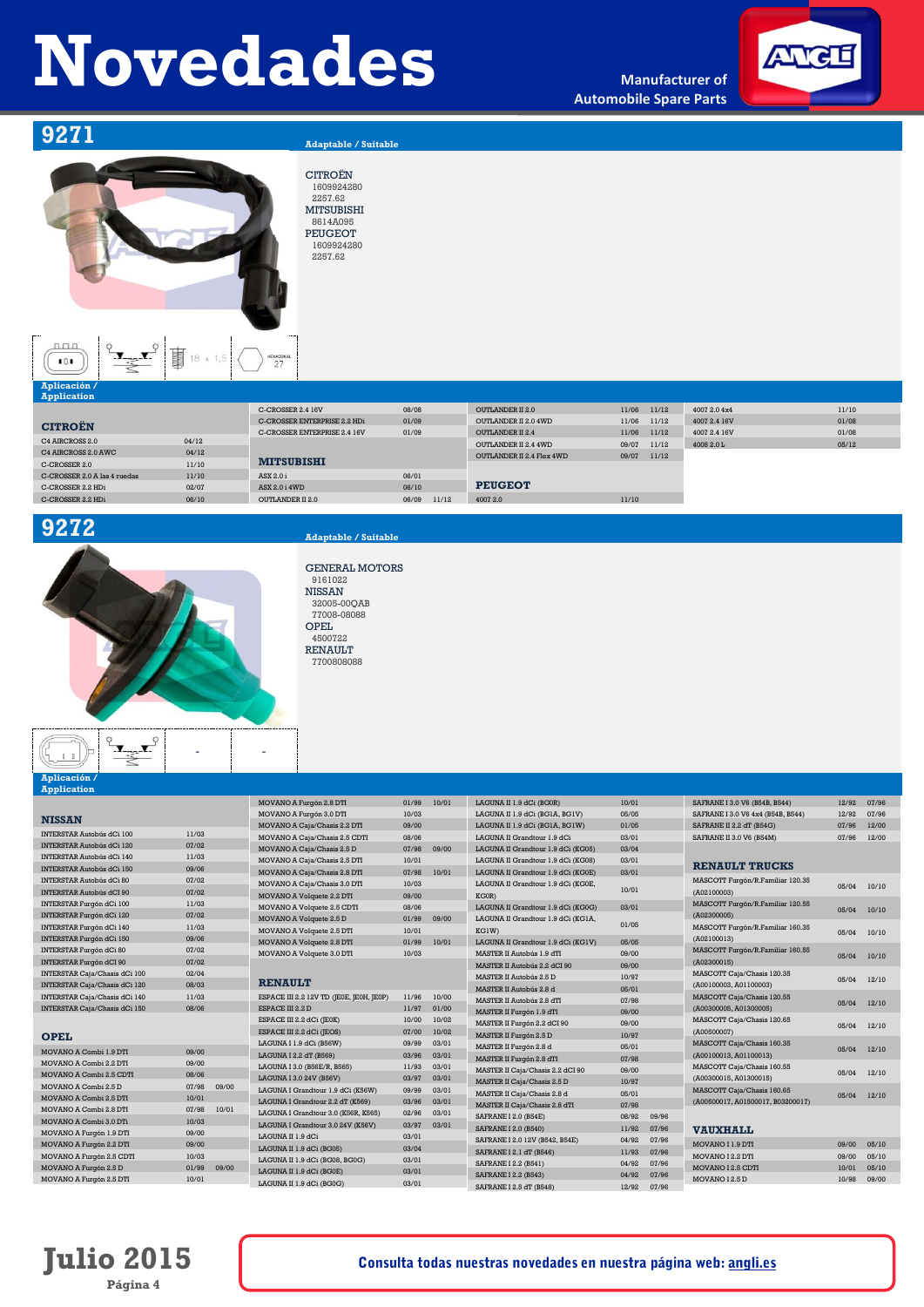**Manufacturer of Automobile Spare Parts**



## **9271 Adaptable / Suitable**

**事** 18 x 1,5

### CITROËN 1609924280 2257.62 MITSUBISHI 8614A095 PEUGEOT 1609924280 2257.62



| Application                  |       |                              |                |                           |                |              |       |
|------------------------------|-------|------------------------------|----------------|---------------------------|----------------|--------------|-------|
|                              |       | C-CROSSER 2.4 16V            | 08/08          | <b>OUTLANDER II 2.0</b>   | 11/06<br>11/12 | 4007 2.0 4x4 | 11/10 |
| <b>CITROEN</b>               |       | C-CROSSER ENTERPRISE 2.2 HDi | 01/09          | OUTLANDER II 2.0 4WD      | 11/06<br>11/12 | 4007 2.4 16V | 01/08 |
|                              |       | C-CROSSER ENTERPRISE 2.4 16V | 01/09          | <b>OUTLANDER II 2.4</b>   | 11/06<br>11/12 | 4007 2.4 16V | 01/08 |
| C4 AIRCROSS 2.0              | 04/12 |                              |                | OUTLANDER II 2.4 4WD      | 09/07<br>11/12 | 4008 2.0 L   | 05/12 |
| C4 AIRCROSS 2.0 AWC          | 04/12 |                              |                | OUTLANDER II 2.4 Flex 4WD | 09/07<br>11/12 |              |       |
| C-CROSSER 2.0                | 11/10 | <b>MITSUBISHI</b>            |                |                           |                |              |       |
| C-CROSSER 2.0 A las 4 ruedas | 11/10 | ASX 2.0 i                    | 06/01          |                           |                |              |       |
| C-CROSSER 2.2 HDi            | 02/07 | ASX 2.0 i 4WD                | 06/10          | <b>PEUGEOT</b>            |                |              |       |
| C-CROSSER 2.2 HDi            | 06/10 | OUTLANDER II 2.0             | 06/09<br>11/12 | 4007 2.0                  | 11/10          |              |       |



- -

## **9272 Adaptable / Suitable**

GENERAL MOTORS 9161022 NISSAN 32005-00QAB 77008-08088 OPEL 4500722 RENAULT 7700808088

## $1-1$ **Aplicación /**

 $\mathbf{r}$ 

| 01/99<br>10/01<br>10/01<br>MOVANO A Furgón 2.8 DTI<br>LAGUNA II 1.9 dCi (BG0R)<br>SAFRANE I 3.0 V6 (B54B, B544)<br>12/92<br>07/96<br>10/03<br>05/05<br>MOVANO A Furgón 3.0 DTI<br>12/92<br>07/96<br>LAGUNA II 1.9 dCi (BG1A, BG1V)<br>SAFRANE I 3.0 V6 4x4 (B54B, B544)<br><b>NISSAN</b><br>09/00<br>01/05<br>07/96<br>12/00<br>MOVANO A Caja/Chasis 2.2 DTI<br>LAGUNA II 1.9 dCi (BG1A, BG1W)<br>SAFRANE II 2.2 dT (B54G)<br>11/03<br><b>INTERSTAR Autobús dCi 100</b><br>03/01<br>08/06<br>07/96<br>MOVANO A Caja/Chasis 2.5 CDTI<br>LAGUNA II Grandtour 1.9 dCi<br>SAFRANE II 3.0 V6 (B54M)<br>12/00<br>07/02<br><b>INTERSTAR Autobús dCi 120</b><br>07/98<br>09/00<br>03/04<br>MOVANO A Caja/Chasis 2.5 D<br>LAGUNA II Grandtour 1.9 dCi (KG05)<br>11/03<br><b>INTERSTAR Autobús dCi 140</b><br>MOVANO A Caja/Chasis 2.5 DTI<br>10/01<br>03/01<br>LAGUNA II Grandtour 1.9 dCi (KG08)<br><b>RENAULT TRUCKS</b><br>09/06<br><b>INTERSTAR Autobús dCi 150</b><br>10/01<br>07/98<br>03/01<br>MOVANO A Caja/Chasis 2.8 DTI<br>LAGUNA II Grandtour 1.9 dCi (KG0E)<br>07/02<br>MASCOTT Furgón/R.Familiar 120.35<br><b>INTERSTAR Autobús dCi 80</b><br>10/03<br>MOVANO A Caja/Chasis 3.0 DTI<br>LAGUNA II Grandtour 1.9 dCi (KG0E,<br>10/10<br>05/04<br>10/01<br>07/02<br><b>INTERSTAR Autobús dCI 90</b><br>(A02100003)<br>09/00<br>KG0R)<br>MOVANO A Volquete 2.2 DTI<br>11/03<br>MASCOTT Furgón/R.Familiar 120.55<br>INTERSTAR Furgón dCi 100<br>03/01<br>08/06<br>LAGUNA II Grandtour 1.9 dCi (KG0G)<br>MOVANO A Volquete 2.5 CDTI<br>10/10<br>05/04<br>07/02<br>(A02300005)<br>INTERSTAR Furgón dCi 120<br>MOVANO A Volquete 2.5 D<br>01/99<br>09/00<br>LAGUNA II Grandtour 1.9 dCi (KG1A,<br>01/05<br>11/03<br>MASCOTT Furgón/R.Familiar 160.35<br>INTERSTAR Furgón dCi 140<br>10/01<br>KG1W)<br>MOVANO A Volquete 2.5 DTI<br>05/04<br>10/10<br>09/06<br>INTERSTAR Furgón dCi 150<br>(A02100013)<br>MOVANO A Volquete 2.8 DTI<br>01/99<br>10/01<br>LAGUNA II Grandtour 1.9 dCi (KG1V)<br>05/05<br>07/02<br>INTERSTAR Furgón dCi 80<br>MASCOTT Furgón/R.Familiar 160.55<br>10/03<br>09/00<br>MOVANO A Volquete 3.0 DTI<br>MASTER II Autobús 1.9 dTI<br>05/04<br>10/10<br>07/02<br><b>INTERSTAR Furgón dCI 90</b><br>(A02300015)<br>09/00<br>MASTER II Autobús 2.2 dCI 90<br>02/04<br>INTERSTAR Caja/Chasis dCi 100<br>MASCOTT Caja/Chasis 120.35<br>10/97<br>MASTER II Autobús 2.5 D<br>12/10<br>05/04<br><b>RENAULT</b><br>08/03<br>INTERSTAR Caja/Chasis dCi 120<br>(A00100003, A01100003)<br>05/01<br>MASTER II Autobús 2.8 d<br>11/03<br>11/96<br>10/00<br>INTERSTAR Caja/Chasis dCi 140<br>ESPACE III 2.2 12V TD (JE0E, JE0H, JE0P)<br>MASCOTT Caja/Chasis 120.55<br>07/98<br>MASTER II Autobús 2.8 dTI<br>12/10<br>05/04<br>08/06<br>01/00<br>ESPACE III 2.2 D<br>11/97<br>(A00300005, A01300005)<br>09/00<br>MASTER II Furgón 1.9 dTI<br>10/00<br>10/02<br>ESPACE III 2.2 dCi (JE0K)<br>MASCOTT Caja/Chasis 120.65<br>09/00<br>MASTER II Furgón 2.2 dCI 90<br>12/10<br>05/04<br>07/00<br>10/02<br>(A00500007)<br>ESPACE III 2.2 dCi (JEOS)<br>10/97<br>MASTER II Furgón 2.5 D<br><b>OPEL</b><br>09/99<br>03/01<br>LAGUNA I 1.9 dCi (B56W)<br>MASCOTT Caja/Chasis 160.35<br>05/01<br>MASTER II Furgón 2.8 d<br>05/04<br>12/10<br>09/00<br>MOVANO A Combi 1.9 DTI<br>03/96<br>03/01<br>LAGUNA I 2.2 dT (B569)<br>(A00100013, A01100013)<br>MASTER II Furgón 2.8 dTI<br>07/98<br>09/00<br>MOVANO A Combi 2.2 DTI<br>11/93<br>03/01<br>LAGUNA I 3.0 (B56E/R, B565)<br>MASCOTT Caja/Chasis 160.55<br>09/00<br>MASTER II Caja/Chasis 2.2 dCI 90<br>12/10<br>05/04<br>08/06<br>MOVANO A Combi 2.5 CDTI<br>03/01<br>03/97<br>LAGUNA I 3.0 24V (B56V)<br>(A00300015, A01300015)<br>MASTER II Caja/Chasis 2.5 D<br>10/97<br>07/98<br>09/00<br>MOVANO A Combi 2.5 D<br>09/99<br>03/01<br>LAGUNA I Grandtour 1.9 dCi (K56W)<br>MASCOTT Caja/Chasis 160.65<br>MASTER II Caja/Chasis 2.8 d<br>05/01<br>12/10<br>05/04<br>10/01<br>MOVANO A Combi 2.5 DTI<br>LAGUNA I Grandtour 2.2 dT (K569)<br>03/96<br>03/01<br>(A00500017, A01500017, B03200017)<br>07/98<br>MASTER II Caja/Chasis 2.8 dTI<br>07/98<br>10/01<br>MOVANO A Combi 2.8 DTI<br>02/96<br>03/01<br>LAGUNA I Grandtour 3.0 (K56R, K565)<br>08/92<br>SAFRANE I 2.0 (B54E)<br>09/96<br>10/03<br>MOVANO A Combi 3.0 DTi<br>LAGUNA I Grandtour 3.0 24V (K56V)<br>03/97<br>03/01<br>11/92<br>07/96<br>SAFRANE I 2.0 (B540)<br><b>VAUXHALL</b><br>09/00<br>MOVANO A Furgón 1.9 DTI<br>LAGUNA II 1.9 dCi<br>03/01<br>04/92<br>07/96<br>SAFRANE I 2.0 12V (B542, B54E)<br>09/00<br>MOVANO I 1.9 DTI<br>05/10<br>MOVANO A Furgón 2.2 DTI<br>09/00<br>03/04<br>LAGUNA II 1.9 dCi (BG05)<br>SAFRANE I 2.1 dT (B546)<br>11/93<br>07/96<br>10/03<br>MOVANO I 2.2 DTI<br>09/00<br>05/10<br>MOVANO A Furgón 2.5 CDTI<br>03/01<br>LAGUNA II 1.9 dCi (BG08, BG0G)<br>04/92<br>SAFRANE I 2.2 (B541)<br>07/96<br>MOVANO A Furgón 2.5 D<br>01/99<br>09/00<br>MOVANO I 2.5 CDTI<br>10/01<br>05/10<br>03/01<br>LAGUNA II 1.9 dCi (BG0E)<br>SAFRANE I 2.2 (B543)<br>04/92<br>07/96<br>10/01<br>MOVANO I 2.5 D<br>10/98<br>09/00<br>MOVANO A Furgón 2.5 DTI<br>03/01<br>LAGUNA II 1.9 dCi (BG0G)<br>12/92<br>SAFRANE I 2.5 dT (B548)<br>07/96 | <b>Application</b>                   |  |  |  |  |  |  |
|----------------------------------------------------------------------------------------------------------------------------------------------------------------------------------------------------------------------------------------------------------------------------------------------------------------------------------------------------------------------------------------------------------------------------------------------------------------------------------------------------------------------------------------------------------------------------------------------------------------------------------------------------------------------------------------------------------------------------------------------------------------------------------------------------------------------------------------------------------------------------------------------------------------------------------------------------------------------------------------------------------------------------------------------------------------------------------------------------------------------------------------------------------------------------------------------------------------------------------------------------------------------------------------------------------------------------------------------------------------------------------------------------------------------------------------------------------------------------------------------------------------------------------------------------------------------------------------------------------------------------------------------------------------------------------------------------------------------------------------------------------------------------------------------------------------------------------------------------------------------------------------------------------------------------------------------------------------------------------------------------------------------------------------------------------------------------------------------------------------------------------------------------------------------------------------------------------------------------------------------------------------------------------------------------------------------------------------------------------------------------------------------------------------------------------------------------------------------------------------------------------------------------------------------------------------------------------------------------------------------------------------------------------------------------------------------------------------------------------------------------------------------------------------------------------------------------------------------------------------------------------------------------------------------------------------------------------------------------------------------------------------------------------------------------------------------------------------------------------------------------------------------------------------------------------------------------------------------------------------------------------------------------------------------------------------------------------------------------------------------------------------------------------------------------------------------------------------------------------------------------------------------------------------------------------------------------------------------------------------------------------------------------------------------------------------------------------------------------------------------------------------------------------------------------------------------------------------------------------------------------------------------------------------------------------------------------------------------------------------------------------------------------------------------------------------------------------------------------------------------------------------------------------------------------------------------------------------------------------------------------------------------------------------------------------------------------------------------------------------------------------------------------------------------------------------------------------------------------------------------------------------------------------------------------------------------------------------------------------------------------------------------------------------------------------------------------------------------------------------------------------------------------------------------------------------------------------------------------------------------------------------------------------------------------------------------------------------------------------------------------------------------------------------------------------------------------------------------------------------------------------------------------------------------------|--------------------------------------|--|--|--|--|--|--|
|                                                                                                                                                                                                                                                                                                                                                                                                                                                                                                                                                                                                                                                                                                                                                                                                                                                                                                                                                                                                                                                                                                                                                                                                                                                                                                                                                                                                                                                                                                                                                                                                                                                                                                                                                                                                                                                                                                                                                                                                                                                                                                                                                                                                                                                                                                                                                                                                                                                                                                                                                                                                                                                                                                                                                                                                                                                                                                                                                                                                                                                                                                                                                                                                                                                                                                                                                                                                                                                                                                                                                                                                                                                                                                                                                                                                                                                                                                                                                                                                                                                                                                                                                                                                                                                                                                                                                                                                                                                                                                                                                                                                                                                                                                                                                                                                                                                                                                                                                                                                                                                                                                                                                                            |                                      |  |  |  |  |  |  |
|                                                                                                                                                                                                                                                                                                                                                                                                                                                                                                                                                                                                                                                                                                                                                                                                                                                                                                                                                                                                                                                                                                                                                                                                                                                                                                                                                                                                                                                                                                                                                                                                                                                                                                                                                                                                                                                                                                                                                                                                                                                                                                                                                                                                                                                                                                                                                                                                                                                                                                                                                                                                                                                                                                                                                                                                                                                                                                                                                                                                                                                                                                                                                                                                                                                                                                                                                                                                                                                                                                                                                                                                                                                                                                                                                                                                                                                                                                                                                                                                                                                                                                                                                                                                                                                                                                                                                                                                                                                                                                                                                                                                                                                                                                                                                                                                                                                                                                                                                                                                                                                                                                                                                                            |                                      |  |  |  |  |  |  |
|                                                                                                                                                                                                                                                                                                                                                                                                                                                                                                                                                                                                                                                                                                                                                                                                                                                                                                                                                                                                                                                                                                                                                                                                                                                                                                                                                                                                                                                                                                                                                                                                                                                                                                                                                                                                                                                                                                                                                                                                                                                                                                                                                                                                                                                                                                                                                                                                                                                                                                                                                                                                                                                                                                                                                                                                                                                                                                                                                                                                                                                                                                                                                                                                                                                                                                                                                                                                                                                                                                                                                                                                                                                                                                                                                                                                                                                                                                                                                                                                                                                                                                                                                                                                                                                                                                                                                                                                                                                                                                                                                                                                                                                                                                                                                                                                                                                                                                                                                                                                                                                                                                                                                                            |                                      |  |  |  |  |  |  |
|                                                                                                                                                                                                                                                                                                                                                                                                                                                                                                                                                                                                                                                                                                                                                                                                                                                                                                                                                                                                                                                                                                                                                                                                                                                                                                                                                                                                                                                                                                                                                                                                                                                                                                                                                                                                                                                                                                                                                                                                                                                                                                                                                                                                                                                                                                                                                                                                                                                                                                                                                                                                                                                                                                                                                                                                                                                                                                                                                                                                                                                                                                                                                                                                                                                                                                                                                                                                                                                                                                                                                                                                                                                                                                                                                                                                                                                                                                                                                                                                                                                                                                                                                                                                                                                                                                                                                                                                                                                                                                                                                                                                                                                                                                                                                                                                                                                                                                                                                                                                                                                                                                                                                                            |                                      |  |  |  |  |  |  |
|                                                                                                                                                                                                                                                                                                                                                                                                                                                                                                                                                                                                                                                                                                                                                                                                                                                                                                                                                                                                                                                                                                                                                                                                                                                                                                                                                                                                                                                                                                                                                                                                                                                                                                                                                                                                                                                                                                                                                                                                                                                                                                                                                                                                                                                                                                                                                                                                                                                                                                                                                                                                                                                                                                                                                                                                                                                                                                                                                                                                                                                                                                                                                                                                                                                                                                                                                                                                                                                                                                                                                                                                                                                                                                                                                                                                                                                                                                                                                                                                                                                                                                                                                                                                                                                                                                                                                                                                                                                                                                                                                                                                                                                                                                                                                                                                                                                                                                                                                                                                                                                                                                                                                                            |                                      |  |  |  |  |  |  |
|                                                                                                                                                                                                                                                                                                                                                                                                                                                                                                                                                                                                                                                                                                                                                                                                                                                                                                                                                                                                                                                                                                                                                                                                                                                                                                                                                                                                                                                                                                                                                                                                                                                                                                                                                                                                                                                                                                                                                                                                                                                                                                                                                                                                                                                                                                                                                                                                                                                                                                                                                                                                                                                                                                                                                                                                                                                                                                                                                                                                                                                                                                                                                                                                                                                                                                                                                                                                                                                                                                                                                                                                                                                                                                                                                                                                                                                                                                                                                                                                                                                                                                                                                                                                                                                                                                                                                                                                                                                                                                                                                                                                                                                                                                                                                                                                                                                                                                                                                                                                                                                                                                                                                                            |                                      |  |  |  |  |  |  |
|                                                                                                                                                                                                                                                                                                                                                                                                                                                                                                                                                                                                                                                                                                                                                                                                                                                                                                                                                                                                                                                                                                                                                                                                                                                                                                                                                                                                                                                                                                                                                                                                                                                                                                                                                                                                                                                                                                                                                                                                                                                                                                                                                                                                                                                                                                                                                                                                                                                                                                                                                                                                                                                                                                                                                                                                                                                                                                                                                                                                                                                                                                                                                                                                                                                                                                                                                                                                                                                                                                                                                                                                                                                                                                                                                                                                                                                                                                                                                                                                                                                                                                                                                                                                                                                                                                                                                                                                                                                                                                                                                                                                                                                                                                                                                                                                                                                                                                                                                                                                                                                                                                                                                                            |                                      |  |  |  |  |  |  |
|                                                                                                                                                                                                                                                                                                                                                                                                                                                                                                                                                                                                                                                                                                                                                                                                                                                                                                                                                                                                                                                                                                                                                                                                                                                                                                                                                                                                                                                                                                                                                                                                                                                                                                                                                                                                                                                                                                                                                                                                                                                                                                                                                                                                                                                                                                                                                                                                                                                                                                                                                                                                                                                                                                                                                                                                                                                                                                                                                                                                                                                                                                                                                                                                                                                                                                                                                                                                                                                                                                                                                                                                                                                                                                                                                                                                                                                                                                                                                                                                                                                                                                                                                                                                                                                                                                                                                                                                                                                                                                                                                                                                                                                                                                                                                                                                                                                                                                                                                                                                                                                                                                                                                                            |                                      |  |  |  |  |  |  |
|                                                                                                                                                                                                                                                                                                                                                                                                                                                                                                                                                                                                                                                                                                                                                                                                                                                                                                                                                                                                                                                                                                                                                                                                                                                                                                                                                                                                                                                                                                                                                                                                                                                                                                                                                                                                                                                                                                                                                                                                                                                                                                                                                                                                                                                                                                                                                                                                                                                                                                                                                                                                                                                                                                                                                                                                                                                                                                                                                                                                                                                                                                                                                                                                                                                                                                                                                                                                                                                                                                                                                                                                                                                                                                                                                                                                                                                                                                                                                                                                                                                                                                                                                                                                                                                                                                                                                                                                                                                                                                                                                                                                                                                                                                                                                                                                                                                                                                                                                                                                                                                                                                                                                                            |                                      |  |  |  |  |  |  |
|                                                                                                                                                                                                                                                                                                                                                                                                                                                                                                                                                                                                                                                                                                                                                                                                                                                                                                                                                                                                                                                                                                                                                                                                                                                                                                                                                                                                                                                                                                                                                                                                                                                                                                                                                                                                                                                                                                                                                                                                                                                                                                                                                                                                                                                                                                                                                                                                                                                                                                                                                                                                                                                                                                                                                                                                                                                                                                                                                                                                                                                                                                                                                                                                                                                                                                                                                                                                                                                                                                                                                                                                                                                                                                                                                                                                                                                                                                                                                                                                                                                                                                                                                                                                                                                                                                                                                                                                                                                                                                                                                                                                                                                                                                                                                                                                                                                                                                                                                                                                                                                                                                                                                                            |                                      |  |  |  |  |  |  |
|                                                                                                                                                                                                                                                                                                                                                                                                                                                                                                                                                                                                                                                                                                                                                                                                                                                                                                                                                                                                                                                                                                                                                                                                                                                                                                                                                                                                                                                                                                                                                                                                                                                                                                                                                                                                                                                                                                                                                                                                                                                                                                                                                                                                                                                                                                                                                                                                                                                                                                                                                                                                                                                                                                                                                                                                                                                                                                                                                                                                                                                                                                                                                                                                                                                                                                                                                                                                                                                                                                                                                                                                                                                                                                                                                                                                                                                                                                                                                                                                                                                                                                                                                                                                                                                                                                                                                                                                                                                                                                                                                                                                                                                                                                                                                                                                                                                                                                                                                                                                                                                                                                                                                                            |                                      |  |  |  |  |  |  |
|                                                                                                                                                                                                                                                                                                                                                                                                                                                                                                                                                                                                                                                                                                                                                                                                                                                                                                                                                                                                                                                                                                                                                                                                                                                                                                                                                                                                                                                                                                                                                                                                                                                                                                                                                                                                                                                                                                                                                                                                                                                                                                                                                                                                                                                                                                                                                                                                                                                                                                                                                                                                                                                                                                                                                                                                                                                                                                                                                                                                                                                                                                                                                                                                                                                                                                                                                                                                                                                                                                                                                                                                                                                                                                                                                                                                                                                                                                                                                                                                                                                                                                                                                                                                                                                                                                                                                                                                                                                                                                                                                                                                                                                                                                                                                                                                                                                                                                                                                                                                                                                                                                                                                                            |                                      |  |  |  |  |  |  |
|                                                                                                                                                                                                                                                                                                                                                                                                                                                                                                                                                                                                                                                                                                                                                                                                                                                                                                                                                                                                                                                                                                                                                                                                                                                                                                                                                                                                                                                                                                                                                                                                                                                                                                                                                                                                                                                                                                                                                                                                                                                                                                                                                                                                                                                                                                                                                                                                                                                                                                                                                                                                                                                                                                                                                                                                                                                                                                                                                                                                                                                                                                                                                                                                                                                                                                                                                                                                                                                                                                                                                                                                                                                                                                                                                                                                                                                                                                                                                                                                                                                                                                                                                                                                                                                                                                                                                                                                                                                                                                                                                                                                                                                                                                                                                                                                                                                                                                                                                                                                                                                                                                                                                                            |                                      |  |  |  |  |  |  |
|                                                                                                                                                                                                                                                                                                                                                                                                                                                                                                                                                                                                                                                                                                                                                                                                                                                                                                                                                                                                                                                                                                                                                                                                                                                                                                                                                                                                                                                                                                                                                                                                                                                                                                                                                                                                                                                                                                                                                                                                                                                                                                                                                                                                                                                                                                                                                                                                                                                                                                                                                                                                                                                                                                                                                                                                                                                                                                                                                                                                                                                                                                                                                                                                                                                                                                                                                                                                                                                                                                                                                                                                                                                                                                                                                                                                                                                                                                                                                                                                                                                                                                                                                                                                                                                                                                                                                                                                                                                                                                                                                                                                                                                                                                                                                                                                                                                                                                                                                                                                                                                                                                                                                                            |                                      |  |  |  |  |  |  |
|                                                                                                                                                                                                                                                                                                                                                                                                                                                                                                                                                                                                                                                                                                                                                                                                                                                                                                                                                                                                                                                                                                                                                                                                                                                                                                                                                                                                                                                                                                                                                                                                                                                                                                                                                                                                                                                                                                                                                                                                                                                                                                                                                                                                                                                                                                                                                                                                                                                                                                                                                                                                                                                                                                                                                                                                                                                                                                                                                                                                                                                                                                                                                                                                                                                                                                                                                                                                                                                                                                                                                                                                                                                                                                                                                                                                                                                                                                                                                                                                                                                                                                                                                                                                                                                                                                                                                                                                                                                                                                                                                                                                                                                                                                                                                                                                                                                                                                                                                                                                                                                                                                                                                                            |                                      |  |  |  |  |  |  |
|                                                                                                                                                                                                                                                                                                                                                                                                                                                                                                                                                                                                                                                                                                                                                                                                                                                                                                                                                                                                                                                                                                                                                                                                                                                                                                                                                                                                                                                                                                                                                                                                                                                                                                                                                                                                                                                                                                                                                                                                                                                                                                                                                                                                                                                                                                                                                                                                                                                                                                                                                                                                                                                                                                                                                                                                                                                                                                                                                                                                                                                                                                                                                                                                                                                                                                                                                                                                                                                                                                                                                                                                                                                                                                                                                                                                                                                                                                                                                                                                                                                                                                                                                                                                                                                                                                                                                                                                                                                                                                                                                                                                                                                                                                                                                                                                                                                                                                                                                                                                                                                                                                                                                                            |                                      |  |  |  |  |  |  |
|                                                                                                                                                                                                                                                                                                                                                                                                                                                                                                                                                                                                                                                                                                                                                                                                                                                                                                                                                                                                                                                                                                                                                                                                                                                                                                                                                                                                                                                                                                                                                                                                                                                                                                                                                                                                                                                                                                                                                                                                                                                                                                                                                                                                                                                                                                                                                                                                                                                                                                                                                                                                                                                                                                                                                                                                                                                                                                                                                                                                                                                                                                                                                                                                                                                                                                                                                                                                                                                                                                                                                                                                                                                                                                                                                                                                                                                                                                                                                                                                                                                                                                                                                                                                                                                                                                                                                                                                                                                                                                                                                                                                                                                                                                                                                                                                                                                                                                                                                                                                                                                                                                                                                                            |                                      |  |  |  |  |  |  |
|                                                                                                                                                                                                                                                                                                                                                                                                                                                                                                                                                                                                                                                                                                                                                                                                                                                                                                                                                                                                                                                                                                                                                                                                                                                                                                                                                                                                                                                                                                                                                                                                                                                                                                                                                                                                                                                                                                                                                                                                                                                                                                                                                                                                                                                                                                                                                                                                                                                                                                                                                                                                                                                                                                                                                                                                                                                                                                                                                                                                                                                                                                                                                                                                                                                                                                                                                                                                                                                                                                                                                                                                                                                                                                                                                                                                                                                                                                                                                                                                                                                                                                                                                                                                                                                                                                                                                                                                                                                                                                                                                                                                                                                                                                                                                                                                                                                                                                                                                                                                                                                                                                                                                                            |                                      |  |  |  |  |  |  |
|                                                                                                                                                                                                                                                                                                                                                                                                                                                                                                                                                                                                                                                                                                                                                                                                                                                                                                                                                                                                                                                                                                                                                                                                                                                                                                                                                                                                                                                                                                                                                                                                                                                                                                                                                                                                                                                                                                                                                                                                                                                                                                                                                                                                                                                                                                                                                                                                                                                                                                                                                                                                                                                                                                                                                                                                                                                                                                                                                                                                                                                                                                                                                                                                                                                                                                                                                                                                                                                                                                                                                                                                                                                                                                                                                                                                                                                                                                                                                                                                                                                                                                                                                                                                                                                                                                                                                                                                                                                                                                                                                                                                                                                                                                                                                                                                                                                                                                                                                                                                                                                                                                                                                                            | <b>INTERSTAR Caja/Chasis dCi 150</b> |  |  |  |  |  |  |
|                                                                                                                                                                                                                                                                                                                                                                                                                                                                                                                                                                                                                                                                                                                                                                                                                                                                                                                                                                                                                                                                                                                                                                                                                                                                                                                                                                                                                                                                                                                                                                                                                                                                                                                                                                                                                                                                                                                                                                                                                                                                                                                                                                                                                                                                                                                                                                                                                                                                                                                                                                                                                                                                                                                                                                                                                                                                                                                                                                                                                                                                                                                                                                                                                                                                                                                                                                                                                                                                                                                                                                                                                                                                                                                                                                                                                                                                                                                                                                                                                                                                                                                                                                                                                                                                                                                                                                                                                                                                                                                                                                                                                                                                                                                                                                                                                                                                                                                                                                                                                                                                                                                                                                            |                                      |  |  |  |  |  |  |
|                                                                                                                                                                                                                                                                                                                                                                                                                                                                                                                                                                                                                                                                                                                                                                                                                                                                                                                                                                                                                                                                                                                                                                                                                                                                                                                                                                                                                                                                                                                                                                                                                                                                                                                                                                                                                                                                                                                                                                                                                                                                                                                                                                                                                                                                                                                                                                                                                                                                                                                                                                                                                                                                                                                                                                                                                                                                                                                                                                                                                                                                                                                                                                                                                                                                                                                                                                                                                                                                                                                                                                                                                                                                                                                                                                                                                                                                                                                                                                                                                                                                                                                                                                                                                                                                                                                                                                                                                                                                                                                                                                                                                                                                                                                                                                                                                                                                                                                                                                                                                                                                                                                                                                            |                                      |  |  |  |  |  |  |
|                                                                                                                                                                                                                                                                                                                                                                                                                                                                                                                                                                                                                                                                                                                                                                                                                                                                                                                                                                                                                                                                                                                                                                                                                                                                                                                                                                                                                                                                                                                                                                                                                                                                                                                                                                                                                                                                                                                                                                                                                                                                                                                                                                                                                                                                                                                                                                                                                                                                                                                                                                                                                                                                                                                                                                                                                                                                                                                                                                                                                                                                                                                                                                                                                                                                                                                                                                                                                                                                                                                                                                                                                                                                                                                                                                                                                                                                                                                                                                                                                                                                                                                                                                                                                                                                                                                                                                                                                                                                                                                                                                                                                                                                                                                                                                                                                                                                                                                                                                                                                                                                                                                                                                            |                                      |  |  |  |  |  |  |
|                                                                                                                                                                                                                                                                                                                                                                                                                                                                                                                                                                                                                                                                                                                                                                                                                                                                                                                                                                                                                                                                                                                                                                                                                                                                                                                                                                                                                                                                                                                                                                                                                                                                                                                                                                                                                                                                                                                                                                                                                                                                                                                                                                                                                                                                                                                                                                                                                                                                                                                                                                                                                                                                                                                                                                                                                                                                                                                                                                                                                                                                                                                                                                                                                                                                                                                                                                                                                                                                                                                                                                                                                                                                                                                                                                                                                                                                                                                                                                                                                                                                                                                                                                                                                                                                                                                                                                                                                                                                                                                                                                                                                                                                                                                                                                                                                                                                                                                                                                                                                                                                                                                                                                            |                                      |  |  |  |  |  |  |
|                                                                                                                                                                                                                                                                                                                                                                                                                                                                                                                                                                                                                                                                                                                                                                                                                                                                                                                                                                                                                                                                                                                                                                                                                                                                                                                                                                                                                                                                                                                                                                                                                                                                                                                                                                                                                                                                                                                                                                                                                                                                                                                                                                                                                                                                                                                                                                                                                                                                                                                                                                                                                                                                                                                                                                                                                                                                                                                                                                                                                                                                                                                                                                                                                                                                                                                                                                                                                                                                                                                                                                                                                                                                                                                                                                                                                                                                                                                                                                                                                                                                                                                                                                                                                                                                                                                                                                                                                                                                                                                                                                                                                                                                                                                                                                                                                                                                                                                                                                                                                                                                                                                                                                            |                                      |  |  |  |  |  |  |
|                                                                                                                                                                                                                                                                                                                                                                                                                                                                                                                                                                                                                                                                                                                                                                                                                                                                                                                                                                                                                                                                                                                                                                                                                                                                                                                                                                                                                                                                                                                                                                                                                                                                                                                                                                                                                                                                                                                                                                                                                                                                                                                                                                                                                                                                                                                                                                                                                                                                                                                                                                                                                                                                                                                                                                                                                                                                                                                                                                                                                                                                                                                                                                                                                                                                                                                                                                                                                                                                                                                                                                                                                                                                                                                                                                                                                                                                                                                                                                                                                                                                                                                                                                                                                                                                                                                                                                                                                                                                                                                                                                                                                                                                                                                                                                                                                                                                                                                                                                                                                                                                                                                                                                            |                                      |  |  |  |  |  |  |
|                                                                                                                                                                                                                                                                                                                                                                                                                                                                                                                                                                                                                                                                                                                                                                                                                                                                                                                                                                                                                                                                                                                                                                                                                                                                                                                                                                                                                                                                                                                                                                                                                                                                                                                                                                                                                                                                                                                                                                                                                                                                                                                                                                                                                                                                                                                                                                                                                                                                                                                                                                                                                                                                                                                                                                                                                                                                                                                                                                                                                                                                                                                                                                                                                                                                                                                                                                                                                                                                                                                                                                                                                                                                                                                                                                                                                                                                                                                                                                                                                                                                                                                                                                                                                                                                                                                                                                                                                                                                                                                                                                                                                                                                                                                                                                                                                                                                                                                                                                                                                                                                                                                                                                            |                                      |  |  |  |  |  |  |
|                                                                                                                                                                                                                                                                                                                                                                                                                                                                                                                                                                                                                                                                                                                                                                                                                                                                                                                                                                                                                                                                                                                                                                                                                                                                                                                                                                                                                                                                                                                                                                                                                                                                                                                                                                                                                                                                                                                                                                                                                                                                                                                                                                                                                                                                                                                                                                                                                                                                                                                                                                                                                                                                                                                                                                                                                                                                                                                                                                                                                                                                                                                                                                                                                                                                                                                                                                                                                                                                                                                                                                                                                                                                                                                                                                                                                                                                                                                                                                                                                                                                                                                                                                                                                                                                                                                                                                                                                                                                                                                                                                                                                                                                                                                                                                                                                                                                                                                                                                                                                                                                                                                                                                            |                                      |  |  |  |  |  |  |
|                                                                                                                                                                                                                                                                                                                                                                                                                                                                                                                                                                                                                                                                                                                                                                                                                                                                                                                                                                                                                                                                                                                                                                                                                                                                                                                                                                                                                                                                                                                                                                                                                                                                                                                                                                                                                                                                                                                                                                                                                                                                                                                                                                                                                                                                                                                                                                                                                                                                                                                                                                                                                                                                                                                                                                                                                                                                                                                                                                                                                                                                                                                                                                                                                                                                                                                                                                                                                                                                                                                                                                                                                                                                                                                                                                                                                                                                                                                                                                                                                                                                                                                                                                                                                                                                                                                                                                                                                                                                                                                                                                                                                                                                                                                                                                                                                                                                                                                                                                                                                                                                                                                                                                            |                                      |  |  |  |  |  |  |
|                                                                                                                                                                                                                                                                                                                                                                                                                                                                                                                                                                                                                                                                                                                                                                                                                                                                                                                                                                                                                                                                                                                                                                                                                                                                                                                                                                                                                                                                                                                                                                                                                                                                                                                                                                                                                                                                                                                                                                                                                                                                                                                                                                                                                                                                                                                                                                                                                                                                                                                                                                                                                                                                                                                                                                                                                                                                                                                                                                                                                                                                                                                                                                                                                                                                                                                                                                                                                                                                                                                                                                                                                                                                                                                                                                                                                                                                                                                                                                                                                                                                                                                                                                                                                                                                                                                                                                                                                                                                                                                                                                                                                                                                                                                                                                                                                                                                                                                                                                                                                                                                                                                                                                            |                                      |  |  |  |  |  |  |
|                                                                                                                                                                                                                                                                                                                                                                                                                                                                                                                                                                                                                                                                                                                                                                                                                                                                                                                                                                                                                                                                                                                                                                                                                                                                                                                                                                                                                                                                                                                                                                                                                                                                                                                                                                                                                                                                                                                                                                                                                                                                                                                                                                                                                                                                                                                                                                                                                                                                                                                                                                                                                                                                                                                                                                                                                                                                                                                                                                                                                                                                                                                                                                                                                                                                                                                                                                                                                                                                                                                                                                                                                                                                                                                                                                                                                                                                                                                                                                                                                                                                                                                                                                                                                                                                                                                                                                                                                                                                                                                                                                                                                                                                                                                                                                                                                                                                                                                                                                                                                                                                                                                                                                            |                                      |  |  |  |  |  |  |
|                                                                                                                                                                                                                                                                                                                                                                                                                                                                                                                                                                                                                                                                                                                                                                                                                                                                                                                                                                                                                                                                                                                                                                                                                                                                                                                                                                                                                                                                                                                                                                                                                                                                                                                                                                                                                                                                                                                                                                                                                                                                                                                                                                                                                                                                                                                                                                                                                                                                                                                                                                                                                                                                                                                                                                                                                                                                                                                                                                                                                                                                                                                                                                                                                                                                                                                                                                                                                                                                                                                                                                                                                                                                                                                                                                                                                                                                                                                                                                                                                                                                                                                                                                                                                                                                                                                                                                                                                                                                                                                                                                                                                                                                                                                                                                                                                                                                                                                                                                                                                                                                                                                                                                            |                                      |  |  |  |  |  |  |
|                                                                                                                                                                                                                                                                                                                                                                                                                                                                                                                                                                                                                                                                                                                                                                                                                                                                                                                                                                                                                                                                                                                                                                                                                                                                                                                                                                                                                                                                                                                                                                                                                                                                                                                                                                                                                                                                                                                                                                                                                                                                                                                                                                                                                                                                                                                                                                                                                                                                                                                                                                                                                                                                                                                                                                                                                                                                                                                                                                                                                                                                                                                                                                                                                                                                                                                                                                                                                                                                                                                                                                                                                                                                                                                                                                                                                                                                                                                                                                                                                                                                                                                                                                                                                                                                                                                                                                                                                                                                                                                                                                                                                                                                                                                                                                                                                                                                                                                                                                                                                                                                                                                                                                            |                                      |  |  |  |  |  |  |
|                                                                                                                                                                                                                                                                                                                                                                                                                                                                                                                                                                                                                                                                                                                                                                                                                                                                                                                                                                                                                                                                                                                                                                                                                                                                                                                                                                                                                                                                                                                                                                                                                                                                                                                                                                                                                                                                                                                                                                                                                                                                                                                                                                                                                                                                                                                                                                                                                                                                                                                                                                                                                                                                                                                                                                                                                                                                                                                                                                                                                                                                                                                                                                                                                                                                                                                                                                                                                                                                                                                                                                                                                                                                                                                                                                                                                                                                                                                                                                                                                                                                                                                                                                                                                                                                                                                                                                                                                                                                                                                                                                                                                                                                                                                                                                                                                                                                                                                                                                                                                                                                                                                                                                            |                                      |  |  |  |  |  |  |
|                                                                                                                                                                                                                                                                                                                                                                                                                                                                                                                                                                                                                                                                                                                                                                                                                                                                                                                                                                                                                                                                                                                                                                                                                                                                                                                                                                                                                                                                                                                                                                                                                                                                                                                                                                                                                                                                                                                                                                                                                                                                                                                                                                                                                                                                                                                                                                                                                                                                                                                                                                                                                                                                                                                                                                                                                                                                                                                                                                                                                                                                                                                                                                                                                                                                                                                                                                                                                                                                                                                                                                                                                                                                                                                                                                                                                                                                                                                                                                                                                                                                                                                                                                                                                                                                                                                                                                                                                                                                                                                                                                                                                                                                                                                                                                                                                                                                                                                                                                                                                                                                                                                                                                            |                                      |  |  |  |  |  |  |

## **Julio 2015 Página 4**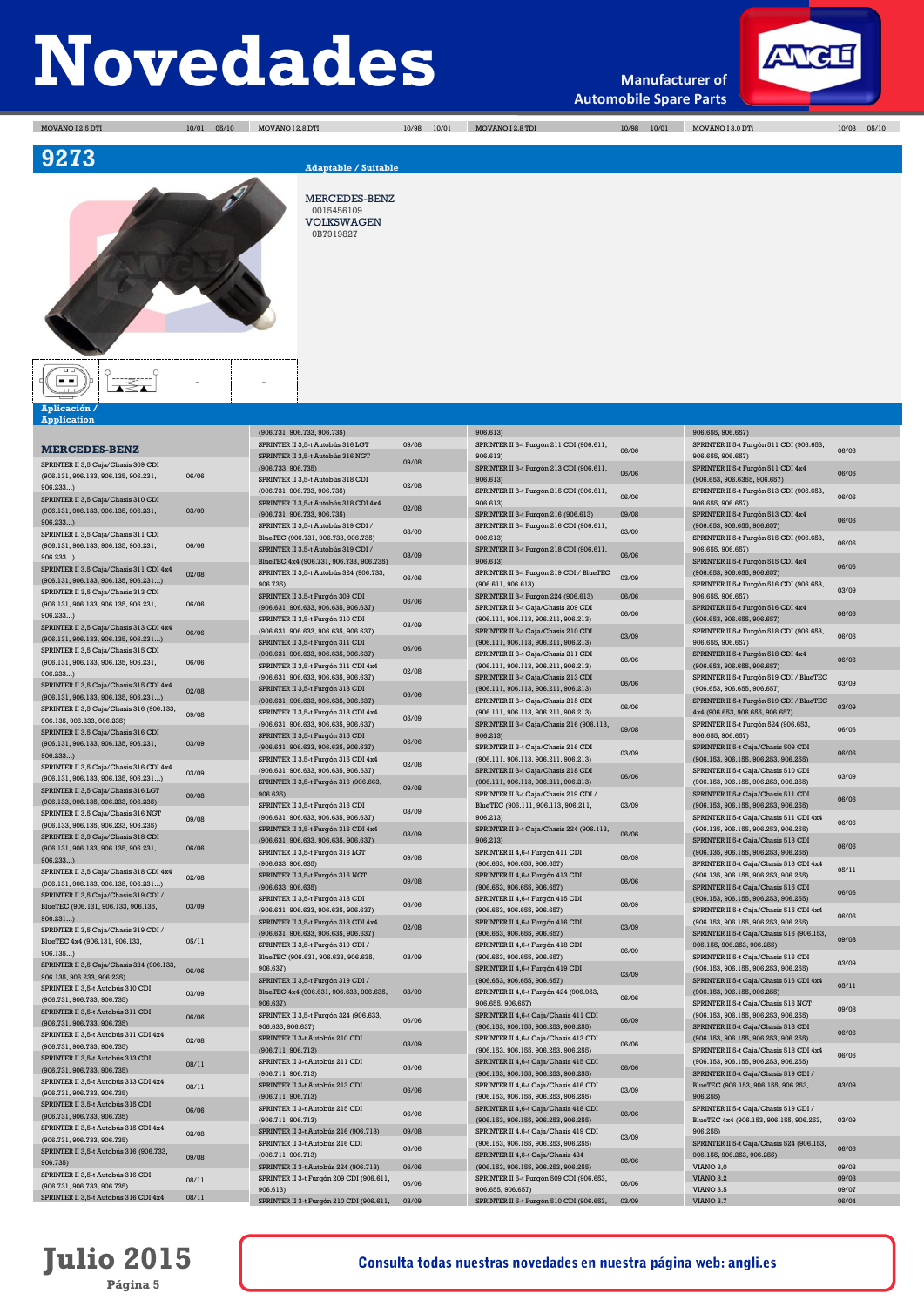**Manufacturer of Automobile Spare Parts**



MOVANO I 2.5 DTI 10/01 05/10 MOVANO I 2.8 DTI 10/98 10/01 MOVANO I 2.8 TDI 10/98 10/01 MOVANO I 3.0 DTi 10/03 05/10



MERCEDES-BENZ 0015456109

VOLKSWAGEN 0B7919827

### **Aplicación / Application**

|                                                |       | (906.731, 906.733, 906.735)                                              |       | 906.613)                                                       |       | 906.655, 906.657)                                                  |       |
|------------------------------------------------|-------|--------------------------------------------------------------------------|-------|----------------------------------------------------------------|-------|--------------------------------------------------------------------|-------|
| <b>MERCEDES-BENZ</b>                           |       | SPRINTER II 3,5-t Autobús 316 LGT                                        | 09/08 | SPRINTER II 3-t Furgón 211 CDI (906.611,                       | 06/06 | SPRINTER II 5-t Furgón 511 CDI (906.653,                           | 06/06 |
| SPRINTER II 3.5 Caia/Chasis 309 CDI            |       | SPRINTER II 3,5-t Autobús 316 NGT                                        | 09/08 | 906,613)                                                       |       | 906.655, 906.657)                                                  |       |
| (906.131, 906.133, 906.135, 906.231,           | 06/06 | (906,733, 906,735)                                                       |       | SPRINTER II 3-t Furgón 213 CDI (906.611,                       | 06/06 | SPRINTER II 5-t Furgón 511 CDI 4x4                                 | 06/06 |
| 906.233                                        |       | SPRINTER II 3,5-t Autobús 318 CDI                                        | 02/08 | 906.613)                                                       |       | (906.653, 906.6355, 906.657)                                       |       |
| SPRINTER II 3,5 Caja/Chasis 310 CDI            |       | (906.731, 906.733, 906.735)                                              |       | SPRINTER II 3-t Furgón 215 CDI (906.611,                       | 06/06 | SPRINTER II 5-t Furgón 513 CDI (906.653,                           | 06/06 |
| (906.131, 906.133, 906.135, 906.231,           | 03/09 | SPRINTER II 3,5-t Autobús 318 CDI 4x4                                    | 02/08 | 906.613)                                                       |       | 906.655, 906.657)                                                  |       |
| 906.233                                        |       | (906.731, 906.733, 906.735)                                              |       | SPRINTER II 3-t Furgón 216 (906.613)                           | 09/08 | SPRINTER II 5-t Furgón 513 CDI 4x4                                 | 06/06 |
| SPRINTER II 3,5 Caja/Chasis 311 CDI            |       | SPRINTER II 3,5-t Autobús 319 CDI /                                      | 03/09 | SPRINTER II 3-t Furgón 216 CDI (906.611,                       | 03/09 | (906.653, 906.655, 906.657)                                        |       |
| (906.131, 906.133, 906.135, 906.231,           | 06/06 | BlueTEC (906.731, 906.733, 906.735)                                      |       | 906.613)                                                       |       | SPRINTER II 5-t Furgón 515 CDI (906.653,                           | 06/06 |
| 906.233                                        |       | SPRINTER II 3,5-t Autobús 319 CDI /                                      | 03/09 | SPRINTER II 3-t Furgón 218 CDI (906.611,                       | 06/06 | 906.655, 906.657)                                                  |       |
| SPRINTER II 3,5 Caja/Chasis 311 CDI 4x4        |       | BlueTEC 4x4 (906.731, 906.733, 906.735)                                  |       | 906.613)                                                       |       | SPRINTER II 5-t Furgón 515 CDI 4x4                                 | 06/06 |
| (906.131, 906.133, 906.135, 906.231)           | 02/08 | SPRINTER II 3,5-t Autobús 324 (906.733,<br>906.735)                      | 06/06 | SPRINTER II 3-t Furgón 219 CDI / BlueTEC<br>(906.611, 906.613) | 03/09 | (906.653, 906.655, 906.657)                                        |       |
| SPRINTER II 3,5 Caja/Chasis 313 CDI            |       |                                                                          |       | SPRINTER II 3-t Furgón 224 (906.613)                           | 06/06 | SPRINTER II 5-t Furgón 516 CDI (906.653,                           | 03/09 |
| (906.131, 906.133, 906.135, 906.231,           | 06/06 | SPRINTER II 3,5-t Furgón 309 CDI<br>(906.631, 906.633, 906.635, 906.637) | 06/06 | SPRINTER II 3-t Caja/Chasis 209 CDI                            |       | 906.655, 906.657)<br>SPRINTER II 5-t Furgón 516 CDI 4x4            |       |
| 906.233                                        |       | SPRINTER II 3,5-t Furgón 310 CDI                                         |       | (906.111, 906.113, 906.211, 906.213)                           | 06/06 | (906.653, 906.655, 906.657)                                        | 06/06 |
| SPRINTER II 3,5 Caja/Chasis 313 CDI 4x4        |       | (906.631, 906.633, 906.635, 906.637)                                     | 03/09 | SPRINTER II 3-t Caja/Chasis 210 CDI                            |       | SPRINTER II 5-t Furgón 518 CDI (906.653,                           |       |
| $(906.131, 906.133, 906.135, 906.231)$         | 06/06 | SPRINTER II 3,5-t Furgón 311 CDI                                         |       | (906.111, 906.113, 906.211, 906.213)                           | 03/09 | 906.655, 906.657)                                                  | 06/06 |
| SPRINTER II 3,5 Caja/Chasis 315 CDI            |       | (906.631, 906.633, 906.635, 906.637)                                     | 06/06 | SPRINTER II 3-t Caja/Chasis 211 CDI                            |       | SPRINTER II 5-t Furgón 518 CDI 4x4                                 |       |
| (906.131, 906.133, 906.135, 906.231,           | 06/06 | SPRINTER II 3,5-t Furgón 311 CDI 4x4                                     |       | (906.111, 906.113, 906.211, 906.213)                           | 06/06 | (906.653, 906.655, 906.657)                                        | 06/06 |
| 906.233                                        |       | (906.631, 906.633, 906.635, 906.637)                                     | 02/08 | SPRINTER II 3-t Caja/Chasis 213 CDI                            |       | SPRINTER II 5-t Furgón 519 CDI / BlueTEC                           |       |
| SPRINTER II 3,5 Caja/Chasis 315 CDI 4x4        | 02/08 | SPRINTER II 3,5-t Furgón 313 CDI                                         |       | (906.111, 906.113, 906.211, 906.213)                           | 06/06 | (906.653, 906.655, 906.657)                                        | 03/09 |
| (906.131, 906.133, 906.135, 906.231)           |       | (906.631, 906.633, 906.635, 906.637)                                     | 06/06 | SPRINTER II 3-t Caja/Chasis 215 CDI                            |       | SPRINTER II 5-t Furgón 519 CDI / BlueTEC                           |       |
| SPRINTER II 3,5 Caja/Chasis 316 (906.133,      | 09/08 | SPRINTER II 3,5-t Furgón 313 CDI 4x4                                     |       | (906.111, 906.113, 906.211, 906.213)                           | 06/06 | 4x4 (906.653, 906.655, 906.657)                                    | 03/09 |
| 906.135, 906.233, 906.235)                     |       | (906.631, 906.633, 906.635, 906.637)                                     | 05/09 | SPRINTER II 3-t Caja/Chasis 216 (906.113,                      |       | SPRINTER II 5-t Furgón 524 (906.653,                               |       |
| SPRINTER II 3,5 Caja/Chasis 316 CDI            |       | SPRINTER II 3,5-t Furgón 315 CDI                                         |       | 906.213)                                                       | 09/08 | 906.655, 906.657)                                                  | 06/06 |
| (906.131, 906.133, 906.135, 906.231,           | 03/09 | (906.631, 906.633, 906.635, 906.637)                                     | 06/06 | SPRINTER II 3-t Caja/Chasis 216 CDI                            |       | SPRINTER II 5-t Caia/Chasis 509 CDI                                |       |
| 906.233                                        |       | SPRINTER II 3,5-t Furgón 315 CDI 4x4                                     |       | (906.111, 906.113, 906.211, 906.213)                           | 03/09 | (906.153, 906.155, 906.253, 906.255)                               | 06/06 |
| SPRINTER II 3,5 Caja/Chasis 316 CDI 4x4        | 03/09 | (906.631, 906.633, 906.635, 906.637)                                     | 02/08 | SPRINTER II 3-t Caja/Chasis 218 CDI                            |       | SPRINTER II 5-t Caja/Chasis 510 CDI                                |       |
| (906.131, 906.133, 906.135, 906.231)           |       | SPRINTER II 3,5-t Furgón 316 (906.663,                                   |       | (906.111, 906.113, 906.211, 906.213)                           | 06/06 | (906.153, 906.155, 906.253, 906.255)                               | 03/09 |
| SPRINTER II 3,5 Caja/Chasis 316 LGT            | 09/08 | 906.635)                                                                 | 09/08 | SPRINTER II 3-t Caja/Chasis 219 CDI /                          |       | SPRINTER II 5-t Caja/Chasis 511 CDI                                |       |
| (906.133, 906.135, 906.233, 906.235)           |       | SPRINTER II 3,5-t Furgón 316 CDI                                         |       | BlueTEC (906.111, 906.113, 906.211,                            | 03/09 | (906.153, 906.155, 906.253, 906.255)                               | 06/06 |
| SPRINTER II 3,5 Caja/Chasis 316 NGT            | 09/08 | (906.631, 906.633, 906.635, 906.637)                                     | 03/09 | 906.213)                                                       |       | SPRINTER II 5-t Caja/Chasis 511 CDI 4x4                            |       |
| (906.133, 906.135, 906.233, 906.235)           |       | SPRINTER II 3,5-t Furgón 316 CDI 4x4                                     |       | SPRINTER II 3-t Caja/Chasis 224 (906.113,                      |       | (906.135, 906.155, 906.253, 906.255)                               | 06/06 |
| SPRINTER II 3,5 Caja/Chasis 318 CDI            |       | (906.631, 906.633, 906.635, 906.637)                                     | 03/09 | 906.213)                                                       | 06/06 | SPRINTER II 5-t Caja/Chasis 513 CDI                                | 06/06 |
| (906.131.906.133.906.135.906.231.              | 06/06 | SPRINTER II 3,5-t Furgón 316 LGT                                         | 09/08 | SPRINTER II 4,6-t Furgón 411 CDI                               | 06/09 | (906.135, 906.155, 906.253, 906.255)                               |       |
| 906.233                                        |       | (906.633, 906.635)                                                       |       | (906.653, 906.655, 906.657)                                    |       | SPRINTER II 5-t Caja/Chasis 513 CDI 4x4                            | 05/11 |
| SPRINTER II 3,5 Caja/Chasis 318 CDI 4x4        | 02/08 | SPRINTER II 3,5-t Furgón 316 NGT                                         | 09/08 | SPRINTER II 4,6-t Furgón 413 CDI                               | 06/06 | (906.135, 906.155, 906.253, 906.255)                               |       |
| (906.131, 906.133, 906.135, 906.231)           |       | (906.633, 906.635)                                                       |       | (906.653, 906.655, 906.657)                                    |       | SPRINTER II 5-t Caja/Chasis 515 CDI                                | 06/06 |
| SPRINTER II 3,5 Caja/Chasis 319 CDI /          | 03/09 | SPRINTER II 3,5-t Furgón 318 CDI                                         | 06/06 | SPRINTER II 4,6-t Furgón 415 CDI                               | 06/09 | (906.153, 906.155, 906.253, 906.255)                               |       |
| BlueTEC (906.131, 906.133, 906.135,<br>906.231 |       | (906.631, 906.633, 906.635, 906.637)                                     |       | (906.653, 906.655, 906.657)                                    |       | SPRINTER II 5-t Caja/Chasis 515 CDI 4x4                            | 06/06 |
| SPRINTER II 3,5 Caja/Chasis 319 CDI /          |       | SPRINTER II 3,5-t Furgón 318 CDI 4x4                                     | 02/08 | SPRINTER II 4,6-t Furgón 416 CDI                               | 03/09 | (906.153, 906.155, 906.253, 906.255)                               |       |
| BlueTEC 4x4 (906.131, 906.133,                 | 05/11 | (906.631, 906.633, 906.635, 906.637)                                     |       | (906.653, 906.655, 906.657)                                    |       | SPRINTER II 5-t Caja/Chasis 516 (906.153,                          | 09/08 |
| 906.135                                        |       | SPRINTER II 3,5-t Furgón 319 CDI /                                       |       | SPRINTER II 4,6-t Furgón 418 CDI                               | 06/09 | 906.155, 906.253, 906.255)                                         |       |
| SPRINTER II 3,5 Caja/Chasis 324 (906.133,      |       | BlueTEC (906.631, 906.633, 906.635,                                      | 03/09 | (906.653, 906.655, 906.657)                                    |       | SPRINTER II 5-t Caja/Chasis 516 CDI                                | 03/09 |
| 906.135.906.233.906.235)                       | 06/06 | 906.637)                                                                 |       | SPRINTER II 4,6-t Furgón 419 CDI                               | 03/09 | (906.153, 906.155, 906.253, 906.255)                               |       |
| SPRINTER II 3,5-t Autobús 310 CDI              |       | SPRINTER II 3,5-t Furgón 319 CDI /                                       |       | (906.653, 906.655, 906.657)                                    |       | SPRINTER II 5-t Caja/Chasis 516 CDI 4x4                            | 05/11 |
| (906.731, 906.733, 906.735)                    | 03/09 | BlueTEC 4x4 (906.631, 906.633, 906.635,<br>906.637)                      | 03/09 | SPRINTER II 4,6-t Furgón 424 (906.953,<br>906.655, 906.657)    | 06/06 | (906.153, 906.155, 906.255)<br>SPRINTER II 5-t Caja/Chasis 516 NGT |       |
| SPRINTER II 3,5-t Autobús 311 CDI              |       | SPRINTER II 3,5-t Furgón 324 (906.633,                                   |       | SPRINTER II 4,6-t Caja/Chasis 411 CDI                          |       | (906.153, 906.155, 906.253, 906.255)                               | 09/08 |
| (906.731, 906.733, 906.735)                    | 06/06 | 906.635, 906.637)                                                        | 06/06 | (906.153, 906.155, 906.253, 906.255)                           | 06/09 | SPRINTER II 5-t Caja/Chasis 518 CDI                                |       |
| SPRINTER II 3,5-t Autobús 311 CDI 4x4          |       | SPRINTER II 3-t Autobús 210 CDI                                          |       | SPRINTER II 4,6-t Caja/Chasis 413 CDI                          |       | (906.153, 906.155, 906.253, 906.255)                               | 06/06 |
| (906.731, 906.733, 906.735)                    | 02/08 | (906.711, 906.713)                                                       | 03/09 | (906.153, 906.155, 906.253, 906.255)                           | 06/06 | SPRINTER II 5-t Caja/Chasis 518 CDI 4x4                            |       |
| SPRINTER II 3,5-t Autobús 313 CDI              | 08/11 | SPRINTER II 3-t Autobús 211 CDI                                          |       | SPRINTER II 4,6-t Caja/Chasis 415 CDI                          |       | (906.153, 906.155, 906.253, 906.255)                               | 06/06 |
| (906.731, 906.733, 906.735)                    |       | (906.711, 906.713)                                                       | 06/06 | (906.153, 906.155, 906.253, 906.255)                           | 06/06 | SPRINTER II 5-t Caja/Chasis 519 CDI /                              |       |
| SPRINTER II 3,5-t Autobús 313 CDI 4x4          | 08/11 | SPRINTER II 3-t Autobús 213 CDI                                          |       | SPRINTER II 4,6-t Caja/Chasis 416 CDI                          |       | BlueTEC (906.153, 906.155, 906.253,                                | 03/09 |
| (906.731, 906.733, 906.735)                    |       | (906.711, 906.713)                                                       | 06/06 | (906.153, 906.155, 906.253, 906.255)                           | 03/09 | 906.255)                                                           |       |
| SPRINTER II 3.5-t Autobús 315 CDI              | 06/06 | SPRINTER II 3-t Autobús 215 CDI                                          |       | SPRINTER II 4.6-t Caia/Chasis 418 CDI                          |       | SPRINTER II 5-t Caja/Chasis 519 CDI /                              |       |
| (906.731, 906.733, 906.735)                    |       | (906.711, 906.713)                                                       | 06/06 | (906.153, 906.155, 906.253, 906.255)                           | 06/06 | BlueTEC 4x4 (906.153, 906.155, 906.253,                            | 03/09 |
| SPRINTER II 3.5-t Autobús 315 CDI 4x4          | 02/08 | SPRINTER II 3-t Autobús 216 (906.713)                                    | 09/08 | SPRINTER II 4,6-t Caja/Chasis 419 CDI                          | 03/09 | 906,2551                                                           |       |
| (906.731, 906.733, 906.735)                    |       | SPRINTER II 3-t Autobús 216 CDI                                          | 06/06 | (906.153, 906.155, 906.253, 906.255)                           |       | SPRINTER II 5-t Caja/Chasis 524 (906.153,                          | 06/06 |
| SPRINTER II 3,5-t Autobús 316 (906.733,        | 09/08 | (906.711, 906.713)                                                       |       | SPRINTER II 4,6-t Caja/Chasis 424                              | 06/06 | 906.155, 906.253, 906.255)                                         |       |
| 906.735)                                       |       | SPRINTER II 3-t Autobús 224 (906.713)                                    | 06/06 | (906.153, 906.155, 906.253, 906.255)                           |       | VIANO 3,0                                                          | 09/03 |
| SPRINTER II 3,5-t Autobús 316 CDI              | 08/11 | SPRINTER II 3-t Furgón 209 CDI (906.611,                                 | 06/06 | SPRINTER II 5-t Furgón 509 CDI (906.653,                       | 06/06 | <b>VIANO 3.2</b>                                                   | 09/03 |
| (906.731, 906.733, 906.735)                    |       | 906.613)                                                                 |       | 906.655, 906.657)                                              |       | VIANO <sub>3.5</sub>                                               | 09/07 |
| SPRINTER II 3,5-t Autobús 316 CDI 4x4          | 08/11 | SPRINTER II 3-t Furgón 210 CDI (906.611,                                 | 03/09 | SPRINTER II 5-t Furgón 510 CDI (906.653,                       | 03/09 | <b>VIANO 3.7</b>                                                   | 06/04 |

## **Julio 2015 Página 5**